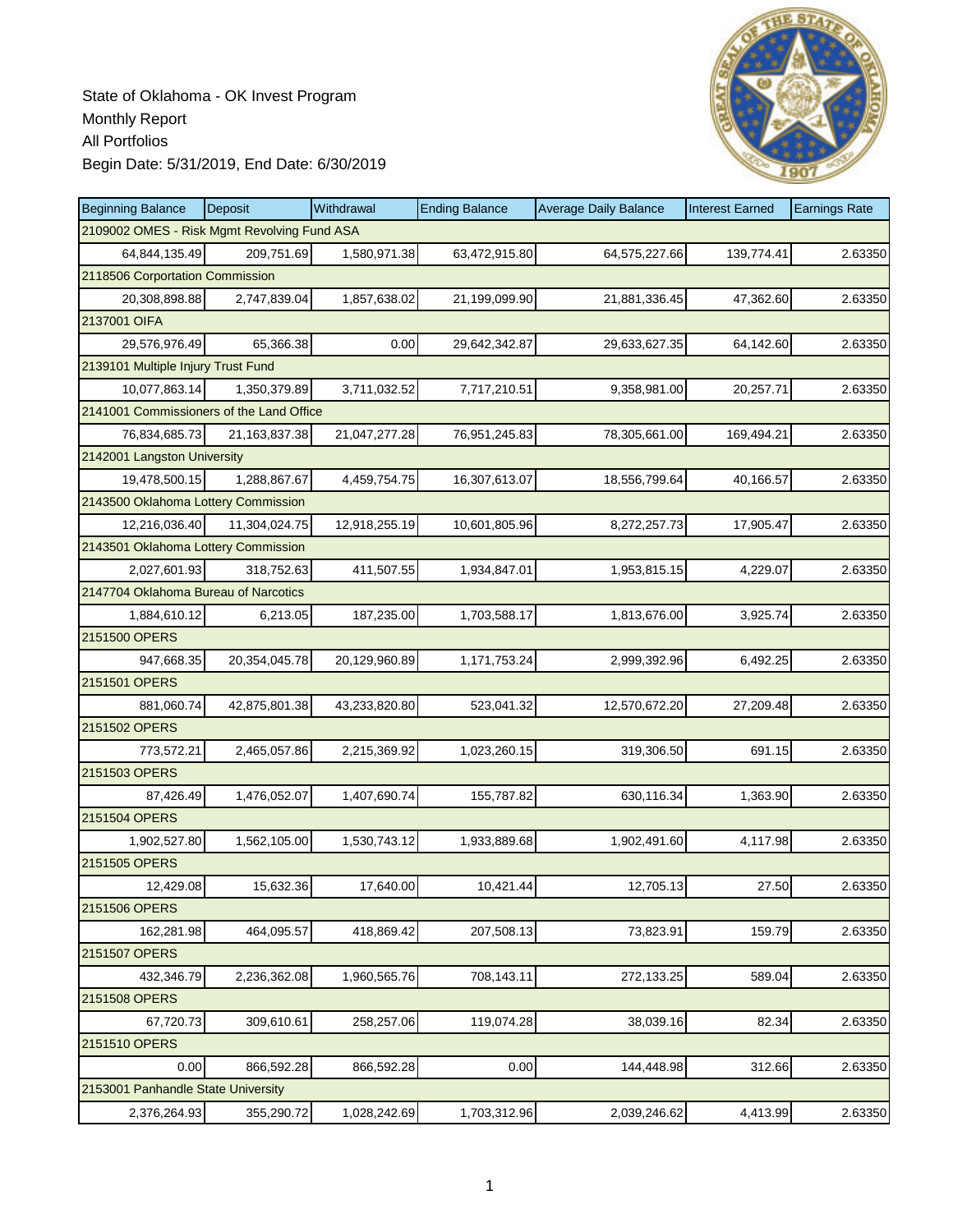

| <b>Beginning Balance</b>                    | Deposit          | Withdrawal    | <b>Ending Balance</b> | <b>Average Daily Balance</b> | <b>Interest Earned</b> | <b>Earnings Rate</b> |
|---------------------------------------------|------------------|---------------|-----------------------|------------------------------|------------------------|----------------------|
| 2109002 OMES - Risk Mgmt Revolving Fund ASA |                  |               |                       |                              |                        |                      |
| 64,844,135.49                               | 209,751.69       | 1,580,971.38  | 63,472,915.80         | 64,575,227.66                | 139,774.41             | 2.63350              |
| 2118506 Corportation Commission             |                  |               |                       |                              |                        |                      |
| 20,308,898.88                               | 2,747,839.04     | 1,857,638.02  | 21,199,099.90         | 21,881,336.45                | 47,362.60              | 2.63350              |
| 2137001 OIFA                                |                  |               |                       |                              |                        |                      |
| 29,576,976.49                               | 65,366.38        | 0.00          | 29,642,342.87         | 29,633,627.35                | 64,142.60              | 2.63350              |
| 2139101 Multiple Injury Trust Fund          |                  |               |                       |                              |                        |                      |
| 10,077,863.14                               | 1,350,379.89     | 3,711,032.52  | 7,717,210.51          | 9,358,981.00                 | 20,257.71              | 2.63350              |
| 2141001 Commissioners of the Land Office    |                  |               |                       |                              |                        |                      |
| 76,834,685.73                               | 21, 163, 837. 38 | 21,047,277.28 | 76,951,245.83         | 78,305,661.00                | 169,494.21             | 2.63350              |
| 2142001 Langston University                 |                  |               |                       |                              |                        |                      |
| 19,478,500.15                               | 1,288,867.67     | 4,459,754.75  | 16,307,613.07         | 18,556,799.64                | 40,166.57              | 2.63350              |
| 2143500 Oklahoma Lottery Commission         |                  |               |                       |                              |                        |                      |
| 12,216,036.40                               | 11,304,024.75    | 12,918,255.19 | 10,601,805.96         | 8,272,257.73                 | 17,905.47              | 2.63350              |
| 2143501 Oklahoma Lottery Commission         |                  |               |                       |                              |                        |                      |
| 2,027,601.93                                | 318,752.63       | 411,507.55    | 1,934,847.01          | 1,953,815.15                 | 4,229.07               | 2.63350              |
| 2147704 Oklahoma Bureau of Narcotics        |                  |               |                       |                              |                        |                      |
| 1,884,610.12                                | 6,213.05         | 187,235.00    | 1,703,588.17          | 1,813,676.00                 | 3,925.74               | 2.63350              |
| 2151500 OPERS                               |                  |               |                       |                              |                        |                      |
| 947,668.35                                  | 20,354,045.78    | 20,129,960.89 | 1,171,753.24          | 2,999,392.96                 | 6,492.25               | 2.63350              |
| 2151501 OPERS                               |                  |               |                       |                              |                        |                      |
| 881,060.74                                  | 42,875,801.38    | 43,233,820.80 | 523,041.32            | 12,570,672.20                | 27,209.48              | 2.63350              |
| 2151502 OPERS                               |                  |               |                       |                              |                        |                      |
| 773,572.21                                  | 2,465,057.86     | 2,215,369.92  | 1,023,260.15          | 319,306.50                   | 691.15                 | 2.63350              |
| 2151503 OPERS                               |                  |               |                       |                              |                        |                      |
| 87,426.49                                   | 1,476,052.07     | 1,407,690.74  | 155,787.82            | 630,116.34                   | 1,363.90               | 2.63350              |
| 2151504 OPERS                               |                  |               |                       |                              |                        |                      |
| 1,902,527.80                                | 1,562,105.00     | 1,530,743.12  | 1,933,889.68          | 1,902,491.60                 | 4,117.98               | 2.63350              |
| 2151505 OPERS                               |                  |               |                       |                              |                        |                      |
| 12,429.08                                   | 15,632.36        | 17,640.00     | 10,421.44             | 12,705.13                    | 27.50                  | 2.63350              |
| 2151506 OPERS                               |                  |               |                       |                              |                        |                      |
| 162,281.98                                  | 464,095.57       | 418,869.42    | 207,508.13            | 73,823.91                    | 159.79                 | 2.63350              |
| 2151507 OPERS                               |                  |               |                       |                              |                        |                      |
| 432,346.79                                  | 2,236,362.08     | 1,960,565.76  | 708,143.11            | 272,133.25                   | 589.04                 | 2.63350              |
| 2151508 OPERS                               |                  |               |                       |                              |                        |                      |
| 67,720.73                                   | 309,610.61       | 258,257.06    | 119,074.28            | 38,039.16                    | 82.34                  | 2.63350              |
| 2151510 OPERS                               |                  |               |                       |                              |                        |                      |
| 0.00                                        | 866,592.28       | 866,592.28    | 0.00                  | 144,448.98                   | 312.66                 | 2.63350              |
| 2153001 Panhandle State University          |                  |               |                       |                              |                        |                      |
| 2,376,264.93                                | 355,290.72       | 1,028,242.69  | 1,703,312.96          | 2,039,246.62                 | 4,413.99               | 2.63350              |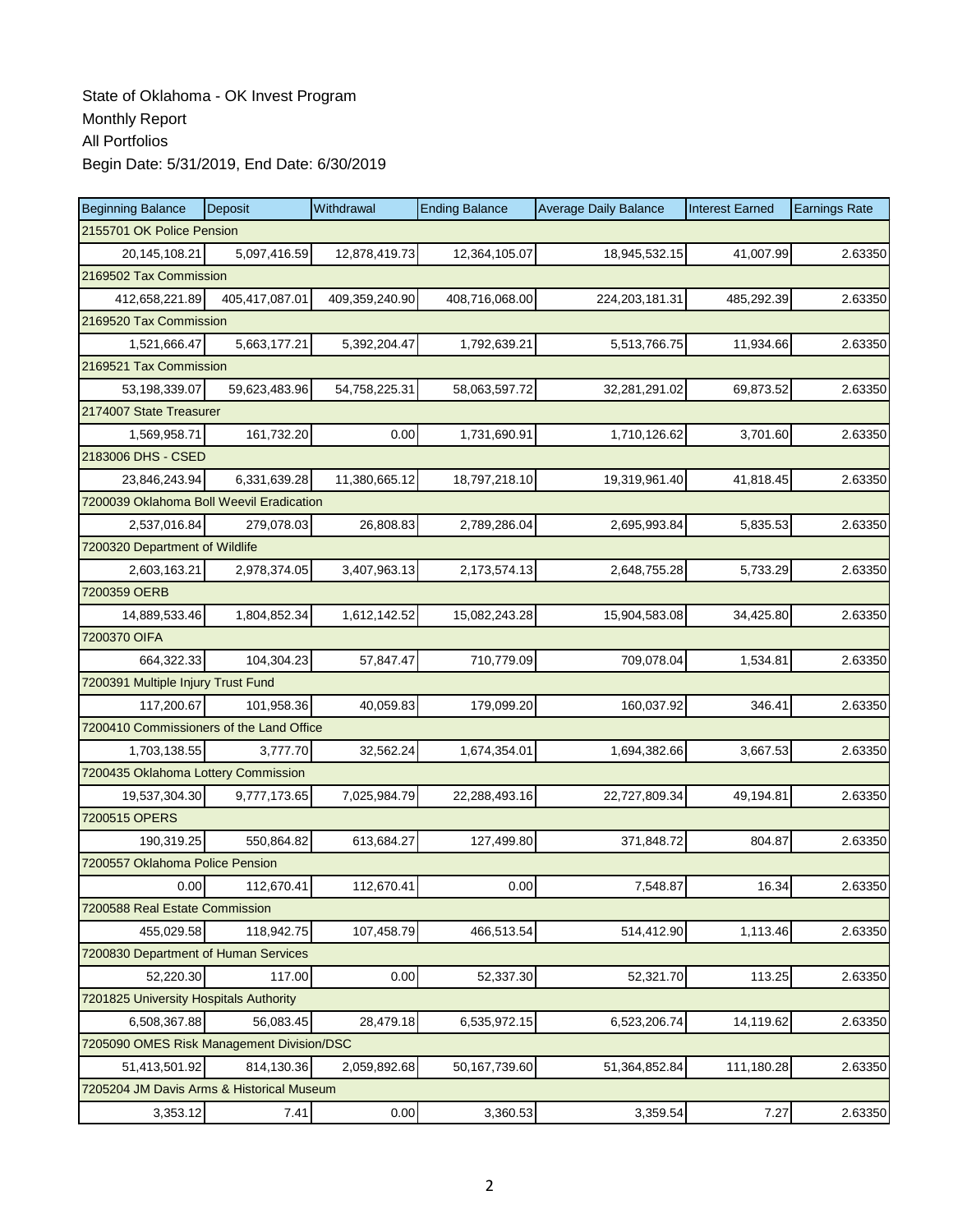| <b>Beginning Balance</b>                  | Deposit                   | Withdrawal     | <b>Ending Balance</b> | <b>Average Daily Balance</b> | <b>Interest Earned</b> | <b>Earnings Rate</b> |  |  |  |  |
|-------------------------------------------|---------------------------|----------------|-----------------------|------------------------------|------------------------|----------------------|--|--|--|--|
|                                           | 2155701 OK Police Pension |                |                       |                              |                        |                      |  |  |  |  |
| 20,145,108.21                             | 5,097,416.59              | 12,878,419.73  | 12,364,105.07         | 18,945,532.15                | 41,007.99              | 2.63350              |  |  |  |  |
| 2169502 Tax Commission                    |                           |                |                       |                              |                        |                      |  |  |  |  |
| 412,658,221.89                            | 405,417,087.01            | 409,359,240.90 | 408,716,068.00        | 224, 203, 181. 31            | 485,292.39             | 2.63350              |  |  |  |  |
| 2169520 Tax Commission                    |                           |                |                       |                              |                        |                      |  |  |  |  |
| 1,521,666.47                              | 5,663,177.21              | 5,392,204.47   | 1,792,639.21          | 5,513,766.75                 | 11,934.66              | 2.63350              |  |  |  |  |
| 2169521 Tax Commission                    |                           |                |                       |                              |                        |                      |  |  |  |  |
| 53.198.339.07                             | 59,623,483.96             | 54,758,225.31  | 58,063,597.72         | 32,281,291.02                | 69,873.52              | 2.63350              |  |  |  |  |
| 2174007 State Treasurer                   |                           |                |                       |                              |                        |                      |  |  |  |  |
| 1,569,958.71                              | 161,732.20                | 0.00           | 1,731,690.91          | 1,710,126.62                 | 3,701.60               | 2.63350              |  |  |  |  |
| 2183006 DHS - CSED                        |                           |                |                       |                              |                        |                      |  |  |  |  |
| 23,846,243.94                             | 6,331,639.28              | 11,380,665.12  | 18,797,218.10         | 19,319,961.40                | 41,818.45              | 2.63350              |  |  |  |  |
| 7200039 Oklahoma Boll Weevil Eradication  |                           |                |                       |                              |                        |                      |  |  |  |  |
| 2,537,016.84                              | 279,078.03                | 26,808.83      | 2,789,286.04          | 2,695,993.84                 | 5,835.53               | 2.63350              |  |  |  |  |
| 7200320 Department of Wildlife            |                           |                |                       |                              |                        |                      |  |  |  |  |
| 2,603,163.21                              | 2,978,374.05              | 3,407,963.13   | 2,173,574.13          | 2,648,755.28                 | 5,733.29               | 2.63350              |  |  |  |  |
| 7200359 OERB                              |                           |                |                       |                              |                        |                      |  |  |  |  |
| 14.889.533.46                             | 1,804,852.34              | 1,612,142.52   | 15,082,243.28         | 15,904,583.08                | 34,425.80              | 2.63350              |  |  |  |  |
| 7200370 OIFA                              |                           |                |                       |                              |                        |                      |  |  |  |  |
| 664,322.33                                | 104,304.23                | 57,847.47      | 710,779.09            | 709,078.04                   | 1,534.81               | 2.63350              |  |  |  |  |
| 7200391 Multiple Injury Trust Fund        |                           |                |                       |                              |                        |                      |  |  |  |  |
| 117,200.67                                | 101,958.36                | 40,059.83      | 179,099.20            | 160,037.92                   | 346.41                 | 2.63350              |  |  |  |  |
| 7200410 Commissioners of the Land Office  |                           |                |                       |                              |                        |                      |  |  |  |  |
| 1,703,138.55                              | 3,777.70                  | 32,562.24      | 1,674,354.01          | 1,694,382.66                 | 3,667.53               | 2.63350              |  |  |  |  |
| 7200435 Oklahoma Lottery Commission       |                           |                |                       |                              |                        |                      |  |  |  |  |
| 19,537,304.30                             | 9,777,173.65              | 7,025,984.79   | 22,288,493.16         | 22,727,809.34                | 49,194.81              | 2.63350              |  |  |  |  |
| 7200515 OPERS                             |                           |                |                       |                              |                        |                      |  |  |  |  |
| 190,319.25                                | 550,864.82                | 613,684.27     | 127,499.80            | 371,848.72                   | 804.87                 | 2.63350              |  |  |  |  |
| 7200557 Oklahoma Police Pension           |                           |                |                       |                              |                        |                      |  |  |  |  |
| 0.00                                      | 112,670.41                | 112,670.41     | 0.00                  | 7,548.87                     | 16.34                  | 2.63350              |  |  |  |  |
| 7200588 Real Estate Commission            |                           |                |                       |                              |                        |                      |  |  |  |  |
| 455,029.58                                | 118,942.75                | 107,458.79     | 466,513.54            | 514,412.90                   | 1,113.46               | 2.63350              |  |  |  |  |
| 7200830 Department of Human Services      |                           |                |                       |                              |                        |                      |  |  |  |  |
| 52,220.30                                 | 117.00                    | 0.00           | 52,337.30             | 52,321.70                    | 113.25                 | 2.63350              |  |  |  |  |
| 7201825 University Hospitals Authority    |                           |                |                       |                              |                        |                      |  |  |  |  |
| 6,508,367.88                              | 56,083.45                 | 28,479.18      | 6,535,972.15          | 6,523,206.74                 | 14,119.62              | 2.63350              |  |  |  |  |
| 7205090 OMES Risk Management Division/DSC |                           |                |                       |                              |                        |                      |  |  |  |  |
| 51,413,501.92                             | 814,130.36                | 2,059,892.68   | 50,167,739.60         | 51,364,852.84                | 111,180.28             | 2.63350              |  |  |  |  |
| 7205204 JM Davis Arms & Historical Museum |                           |                |                       |                              |                        |                      |  |  |  |  |
| 3,353.12                                  | 7.41                      | 0.00           | 3,360.53              | 3,359.54                     | 7.27                   | 2.63350              |  |  |  |  |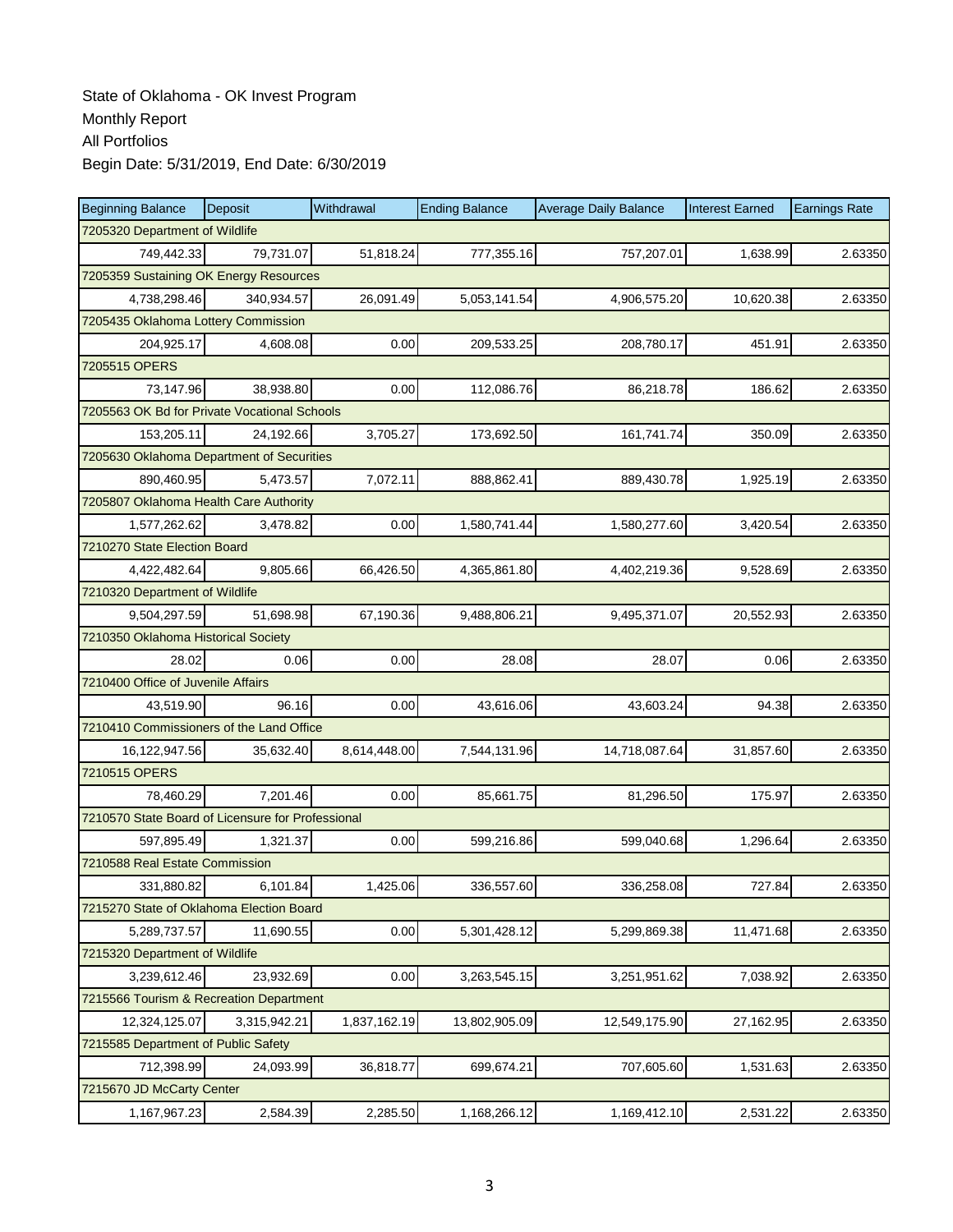| <b>Beginning Balance</b>                          | Deposit                        | Withdrawal   | <b>Ending Balance</b> | <b>Average Daily Balance</b> | <b>Interest Earned</b> | <b>Earnings Rate</b> |  |  |  |
|---------------------------------------------------|--------------------------------|--------------|-----------------------|------------------------------|------------------------|----------------------|--|--|--|
|                                                   | 7205320 Department of Wildlife |              |                       |                              |                        |                      |  |  |  |
| 749.442.33                                        | 79,731.07                      | 51,818.24    | 777,355.16            | 757,207.01                   | 1,638.99               | 2.63350              |  |  |  |
| 7205359 Sustaining OK Energy Resources            |                                |              |                       |                              |                        |                      |  |  |  |
| 4,738,298.46                                      | 340,934.57                     | 26,091.49    | 5,053,141.54          | 4,906,575.20                 | 10,620.38              | 2.63350              |  |  |  |
| 7205435 Oklahoma Lottery Commission               |                                |              |                       |                              |                        |                      |  |  |  |
| 204,925.17                                        | 4,608.08                       | 0.00         | 209,533.25            | 208,780.17                   | 451.91                 | 2.63350              |  |  |  |
| 7205515 OPERS                                     |                                |              |                       |                              |                        |                      |  |  |  |
| 73,147.96                                         | 38,938.80                      | 0.00         | 112,086.76            | 86,218.78                    | 186.62                 | 2.63350              |  |  |  |
| 7205563 OK Bd for Private Vocational Schools      |                                |              |                       |                              |                        |                      |  |  |  |
| 153,205.11                                        | 24,192.66                      | 3,705.27     | 173,692.50            | 161,741.74                   | 350.09                 | 2.63350              |  |  |  |
| 7205630 Oklahoma Department of Securities         |                                |              |                       |                              |                        |                      |  |  |  |
| 890,460.95                                        | 5,473.57                       | 7,072.11     | 888,862.41            | 889,430.78                   | 1,925.19               | 2.63350              |  |  |  |
| 7205807 Oklahoma Health Care Authority            |                                |              |                       |                              |                        |                      |  |  |  |
| 1,577,262.62                                      | 3,478.82                       | 0.00         | 1,580,741.44          | 1,580,277.60                 | 3,420.54               | 2.63350              |  |  |  |
| 7210270 State Election Board                      |                                |              |                       |                              |                        |                      |  |  |  |
| 4,422,482.64                                      | 9,805.66                       | 66,426.50    | 4,365,861.80          | 4,402,219.36                 | 9,528.69               | 2.63350              |  |  |  |
| 7210320 Department of Wildlife                    |                                |              |                       |                              |                        |                      |  |  |  |
| 9,504,297.59                                      | 51,698.98                      | 67,190.36    | 9,488,806.21          | 9,495,371.07                 | 20,552.93              | 2.63350              |  |  |  |
| 7210350 Oklahoma Historical Society               |                                |              |                       |                              |                        |                      |  |  |  |
| 28.02                                             | 0.06                           | 0.00         | 28.08                 | 28.07                        | 0.06                   | 2.63350              |  |  |  |
| 7210400 Office of Juvenile Affairs                |                                |              |                       |                              |                        |                      |  |  |  |
| 43,519.90                                         | 96.16                          | 0.00         | 43,616.06             | 43,603.24                    | 94.38                  | 2.63350              |  |  |  |
| 7210410 Commissioners of the Land Office          |                                |              |                       |                              |                        |                      |  |  |  |
| 16,122,947.56                                     | 35,632.40                      | 8,614,448.00 | 7,544,131.96          | 14,718,087.64                | 31,857.60              | 2.63350              |  |  |  |
| 7210515 OPERS                                     |                                |              |                       |                              |                        |                      |  |  |  |
| 78,460.29                                         | 7,201.46                       | 0.00         | 85,661.75             | 81,296.50                    | 175.97                 | 2.63350              |  |  |  |
| 7210570 State Board of Licensure for Professional |                                |              |                       |                              |                        |                      |  |  |  |
| 597.895.49                                        | 1.321.37                       | 0.00         | 599,216.86            | 599,040.68                   | 1,296.64               | 2.63350              |  |  |  |
| 7210588 Real Estate Commission                    |                                |              |                       |                              |                        |                      |  |  |  |
| 331,880.82                                        | 6,101.84                       | 1,425.06     | 336,557.60            | 336,258.08                   | 727.84                 | 2.63350              |  |  |  |
| 7215270 State of Oklahoma Election Board          |                                |              |                       |                              |                        |                      |  |  |  |
| 5,289,737.57                                      | 11,690.55                      | 0.00         | 5,301,428.12          | 5,299,869.38                 | 11,471.68              | 2.63350              |  |  |  |
| 7215320 Department of Wildlife                    |                                |              |                       |                              |                        |                      |  |  |  |
| 3,239,612.46                                      | 23,932.69                      | 0.00         | 3,263,545.15          | 3,251,951.62                 | 7,038.92               | 2.63350              |  |  |  |
| 7215566 Tourism & Recreation Department           |                                |              |                       |                              |                        |                      |  |  |  |
| 12,324,125.07                                     | 3,315,942.21                   | 1,837,162.19 | 13,802,905.09         | 12,549,175.90                | 27,162.95              | 2.63350              |  |  |  |
| 7215585 Department of Public Safety               |                                |              |                       |                              |                        |                      |  |  |  |
| 712,398.99                                        | 24,093.99                      | 36,818.77    | 699,674.21            | 707,605.60                   | 1,531.63               | 2.63350              |  |  |  |
| 7215670 JD McCarty Center                         |                                |              |                       |                              |                        |                      |  |  |  |
| 1,167,967.23                                      | 2,584.39                       | 2,285.50     | 1,168,266.12          | 1,169,412.10                 | 2,531.22               | 2.63350              |  |  |  |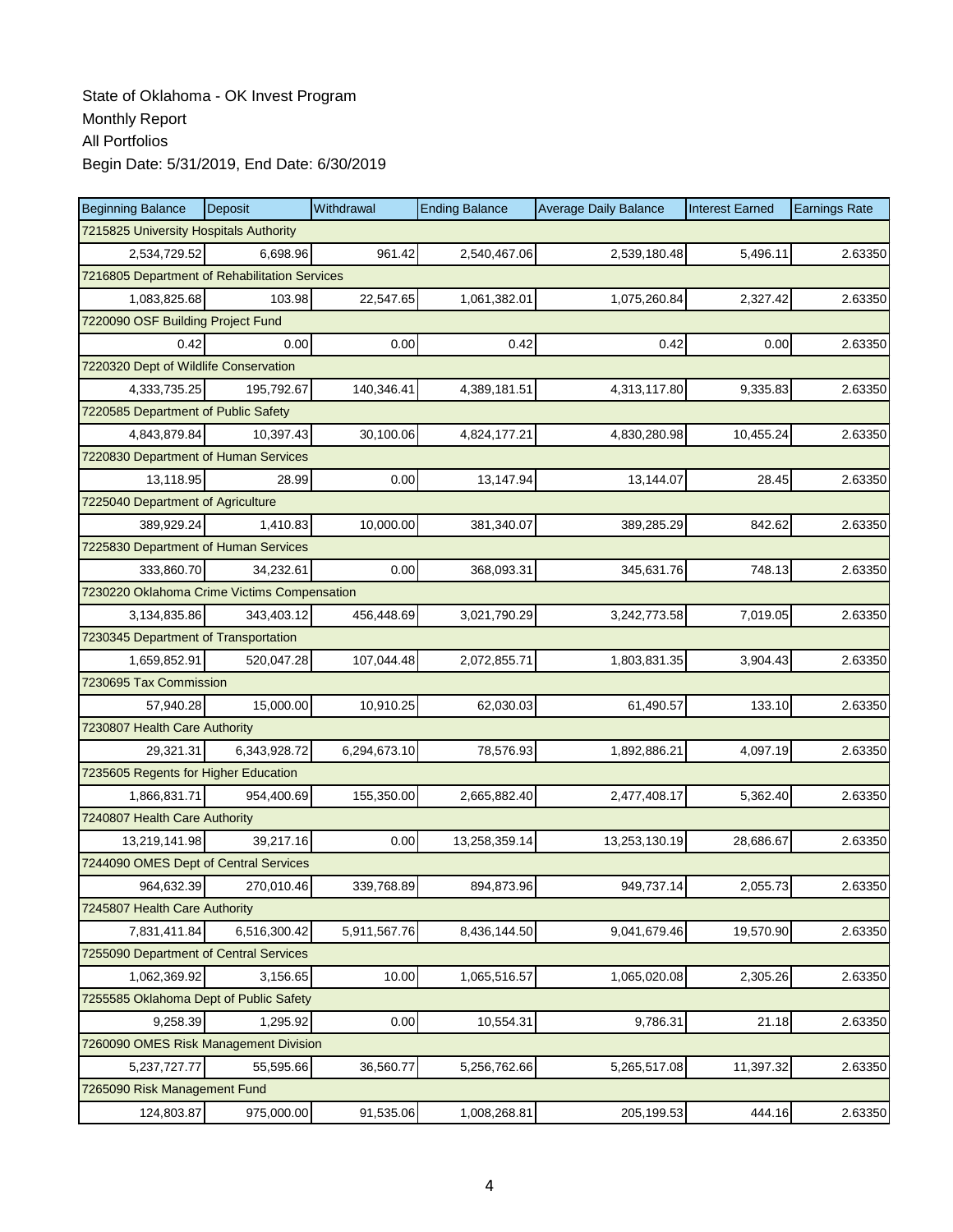| <b>Beginning Balance</b>                      | <b>Deposit</b> | Withdrawal   | <b>Ending Balance</b> | <b>Average Daily Balance</b> | <b>Interest Earned</b> | <b>Earnings Rate</b> |  |  |
|-----------------------------------------------|----------------|--------------|-----------------------|------------------------------|------------------------|----------------------|--|--|
| 7215825 University Hospitals Authority        |                |              |                       |                              |                        |                      |  |  |
| 2,534,729.52                                  | 6.698.96       | 961.42       | 2,540,467.06          | 2,539,180.48                 | 5,496.11               | 2.63350              |  |  |
| 7216805 Department of Rehabilitation Services |                |              |                       |                              |                        |                      |  |  |
| 1,083,825.68                                  | 103.98         | 22,547.65    | 1,061,382.01          | 1,075,260.84                 | 2,327.42               | 2.63350              |  |  |
| 7220090 OSF Building Project Fund             |                |              |                       |                              |                        |                      |  |  |
| 0.42                                          | 0.00           | 0.00         | 0.42                  | 0.42                         | 0.00                   | 2.63350              |  |  |
| 7220320 Dept of Wildlife Conservation         |                |              |                       |                              |                        |                      |  |  |
| 4,333,735.25                                  | 195,792.67     | 140,346.41   | 4,389,181.51          | 4,313,117.80                 | 9,335.83               | 2.63350              |  |  |
| 7220585 Department of Public Safety           |                |              |                       |                              |                        |                      |  |  |
| 4,843,879.84                                  | 10,397.43      | 30,100.06    | 4,824,177.21          | 4,830,280.98                 | 10,455.24              | 2.63350              |  |  |
| 7220830 Department of Human Services          |                |              |                       |                              |                        |                      |  |  |
| 13,118.95                                     | 28.99          | 0.00         | 13,147.94             | 13,144.07                    | 28.45                  | 2.63350              |  |  |
| 7225040 Department of Agriculture             |                |              |                       |                              |                        |                      |  |  |
| 389,929.24                                    | 1,410.83       | 10,000.00    | 381,340.07            | 389,285.29                   | 842.62                 | 2.63350              |  |  |
| 7225830 Department of Human Services          |                |              |                       |                              |                        |                      |  |  |
| 333,860.70                                    | 34,232.61      | 0.00         | 368,093.31            | 345,631.76                   | 748.13                 | 2.63350              |  |  |
| 7230220 Oklahoma Crime Victims Compensation   |                |              |                       |                              |                        |                      |  |  |
| 3,134,835.86                                  | 343,403.12     | 456,448.69   | 3,021,790.29          | 3,242,773.58                 | 7,019.05               | 2.63350              |  |  |
| 7230345 Department of Transportation          |                |              |                       |                              |                        |                      |  |  |
| 1,659,852.91                                  | 520,047.28     | 107,044.48   | 2,072,855.71          | 1,803,831.35                 | 3,904.43               | 2.63350              |  |  |
| 7230695 Tax Commission                        |                |              |                       |                              |                        |                      |  |  |
| 57,940.28                                     | 15,000.00      | 10,910.25    | 62,030.03             | 61,490.57                    | 133.10                 | 2.63350              |  |  |
| 7230807 Health Care Authority                 |                |              |                       |                              |                        |                      |  |  |
| 29,321.31                                     | 6,343,928.72   | 6,294,673.10 | 78,576.93             | 1,892,886.21                 | 4,097.19               | 2.63350              |  |  |
| 7235605 Regents for Higher Education          |                |              |                       |                              |                        |                      |  |  |
| 1,866,831.71                                  | 954,400.69     | 155,350.00   | 2,665,882.40          | 2,477,408.17                 | 5,362.40               | 2.63350              |  |  |
| 7240807 Health Care Authority                 |                |              |                       |                              |                        |                      |  |  |
| 13,219,141.98                                 | 39,217.16      | 0.00         | 13,258,359.14         | 13,253,130.19                | 28,686.67              | 2.63350              |  |  |
| 7244090 OMES Dept of Central Services         |                |              |                       |                              |                        |                      |  |  |
| 964,632.39                                    | 270,010.46     | 339,768.89   | 894,873.96            | 949,737.14                   | 2,055.73               | 2.63350              |  |  |
| 7245807 Health Care Authority                 |                |              |                       |                              |                        |                      |  |  |
| 7,831,411.84                                  | 6,516,300.42   | 5,911,567.76 | 8,436,144.50          | 9,041,679.46                 | 19,570.90              | 2.63350              |  |  |
| 7255090 Department of Central Services        |                |              |                       |                              |                        |                      |  |  |
| 1,062,369.92                                  | 3,156.65       | 10.00        | 1,065,516.57          | 1,065,020.08                 | 2,305.26               | 2.63350              |  |  |
| 7255585 Oklahoma Dept of Public Safety        |                |              |                       |                              |                        |                      |  |  |
| 9,258.39                                      | 1,295.92       | 0.00         | 10,554.31             | 9,786.31                     | 21.18                  | 2.63350              |  |  |
| 7260090 OMES Risk Management Division         |                |              |                       |                              |                        |                      |  |  |
| 5,237,727.77                                  | 55,595.66      | 36,560.77    | 5,256,762.66          | 5,265,517.08                 | 11,397.32              | 2.63350              |  |  |
| 7265090 Risk Management Fund                  |                |              |                       |                              |                        |                      |  |  |
| 124,803.87                                    | 975,000.00     | 91,535.06    | 1,008,268.81          | 205,199.53                   | 444.16                 | 2.63350              |  |  |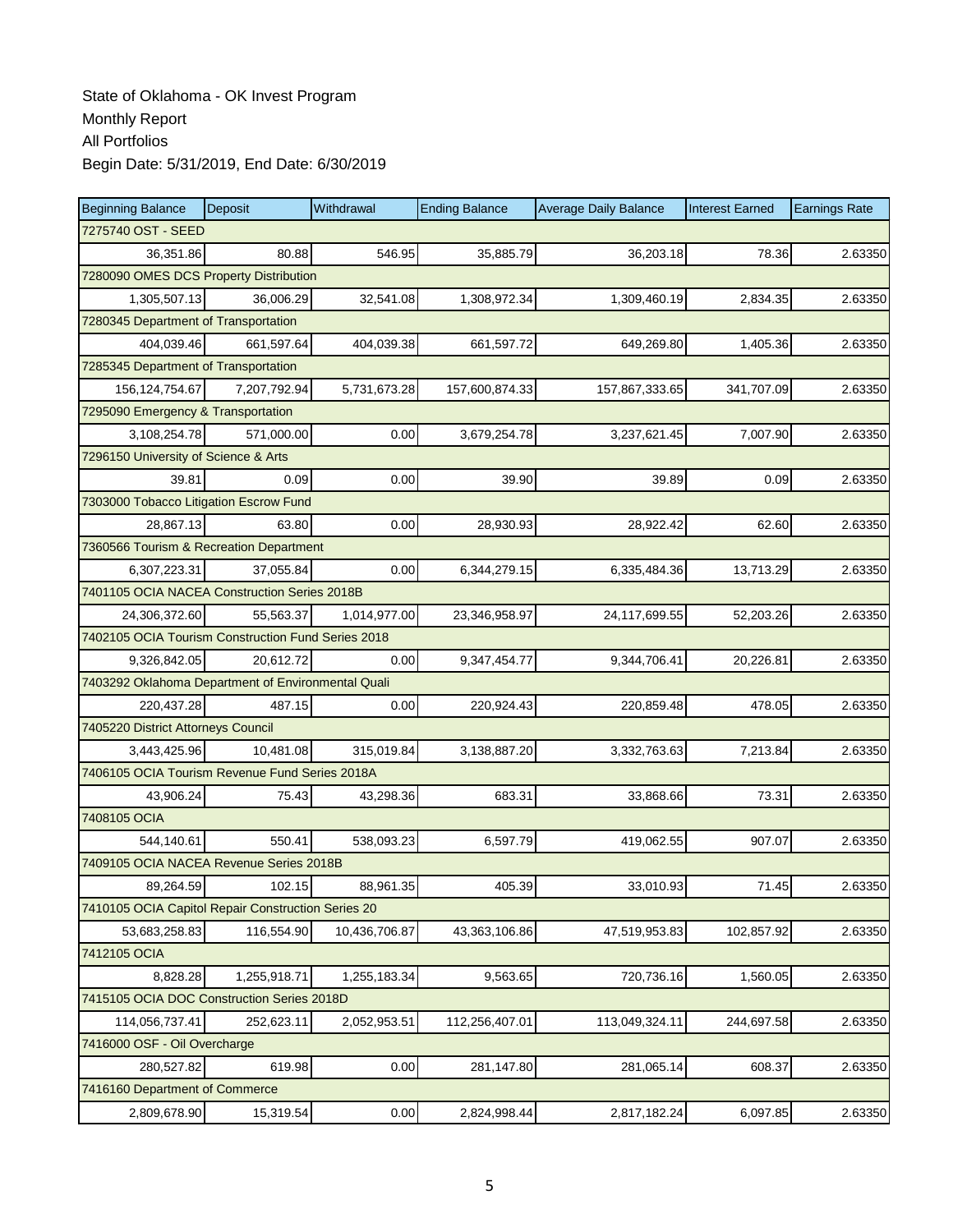| <b>Beginning Balance</b>                           | Deposit            | Withdrawal    | <b>Ending Balance</b> | <b>Average Daily Balance</b> | <b>Interest Earned</b> | <b>Earnings Rate</b> |  |  |  |
|----------------------------------------------------|--------------------|---------------|-----------------------|------------------------------|------------------------|----------------------|--|--|--|
|                                                    | 7275740 OST - SEED |               |                       |                              |                        |                      |  |  |  |
| 36,351.86                                          | 80.88              | 546.95        | 35,885.79             | 36,203.18                    | 78.36                  | 2.63350              |  |  |  |
| 7280090 OMES DCS Property Distribution             |                    |               |                       |                              |                        |                      |  |  |  |
| 1,305,507.13                                       | 36,006.29          | 32,541.08     | 1,308,972.34          | 1,309,460.19                 | 2,834.35               | 2.63350              |  |  |  |
| 7280345 Department of Transportation               |                    |               |                       |                              |                        |                      |  |  |  |
| 404,039.46                                         | 661,597.64         | 404,039.38    | 661,597.72            | 649,269.80                   | 1,405.36               | 2.63350              |  |  |  |
| 7285345 Department of Transportation               |                    |               |                       |                              |                        |                      |  |  |  |
| 156, 124, 754. 67                                  | 7,207,792.94       | 5,731,673.28  | 157,600,874.33        | 157,867,333.65               | 341,707.09             | 2.63350              |  |  |  |
| 7295090 Emergency & Transportation                 |                    |               |                       |                              |                        |                      |  |  |  |
| 3,108,254.78                                       | 571,000.00         | 0.00          | 3,679,254.78          | 3,237,621.45                 | 7,007.90               | 2.63350              |  |  |  |
| 7296150 University of Science & Arts               |                    |               |                       |                              |                        |                      |  |  |  |
| 39.81                                              | 0.09               | 0.00          | 39.90                 | 39.89                        | 0.09                   | 2.63350              |  |  |  |
| 7303000 Tobacco Litigation Escrow Fund             |                    |               |                       |                              |                        |                      |  |  |  |
| 28,867.13                                          | 63.80              | 0.00          | 28,930.93             | 28,922.42                    | 62.60                  | 2.63350              |  |  |  |
| 7360566 Tourism & Recreation Department            |                    |               |                       |                              |                        |                      |  |  |  |
| 6,307,223.31                                       | 37,055.84          | 0.00          | 6,344,279.15          | 6,335,484.36                 | 13,713.29              | 2.63350              |  |  |  |
| 7401105 OCIA NACEA Construction Series 2018B       |                    |               |                       |                              |                        |                      |  |  |  |
| 24,306,372.60                                      | 55,563.37          | 1,014,977.00  | 23,346,958.97         | 24,117,699.55                | 52,203.26              | 2.63350              |  |  |  |
| 7402105 OCIA Tourism Construction Fund Series 2018 |                    |               |                       |                              |                        |                      |  |  |  |
| 9,326,842.05                                       | 20,612.72          | 0.00          | 9,347,454.77          | 9,344,706.41                 | 20,226.81              | 2.63350              |  |  |  |
| 7403292 Oklahoma Department of Environmental Quali |                    |               |                       |                              |                        |                      |  |  |  |
| 220,437.28                                         | 487.15             | 0.00          | 220,924.43            | 220,859.48                   | 478.05                 | 2.63350              |  |  |  |
| 7405220 District Attorneys Council                 |                    |               |                       |                              |                        |                      |  |  |  |
| 3,443,425.96                                       | 10,481.08          | 315,019.84    | 3,138,887.20          | 3,332,763.63                 | 7,213.84               | 2.63350              |  |  |  |
| 7406105 OCIA Tourism Revenue Fund Series 2018A     |                    |               |                       |                              |                        |                      |  |  |  |
| 43,906.24                                          | 75.43              | 43,298.36     | 683.31                | 33,868.66                    | 73.31                  | 2.63350              |  |  |  |
| 7408105 OCIA                                       |                    |               |                       |                              |                        |                      |  |  |  |
| 544,140.61                                         | 550.41             | 538,093.23    | 6,597.79              | 419,062.55                   | 907.07                 | 2.63350              |  |  |  |
| 7409105 OCIA NACEA Revenue Series 2018B            |                    |               |                       |                              |                        |                      |  |  |  |
| 89,264.59                                          | 102.15             | 88,961.35     | 405.39                | 33,010.93                    | 71.45                  | 2.63350              |  |  |  |
| 7410105 OCIA Capitol Repair Construction Series 20 |                    |               |                       |                              |                        |                      |  |  |  |
| 53,683,258.83                                      | 116,554.90         | 10,436,706.87 | 43,363,106.86         | 47,519,953.83                | 102,857.92             | 2.63350              |  |  |  |
| 7412105 OCIA                                       |                    |               |                       |                              |                        |                      |  |  |  |
| 8,828.28                                           | 1,255,918.71       | 1,255,183.34  | 9,563.65              | 720,736.16                   | 1,560.05               | 2.63350              |  |  |  |
| 7415105 OCIA DOC Construction Series 2018D         |                    |               |                       |                              |                        |                      |  |  |  |
| 114,056,737.41                                     | 252,623.11         | 2,052,953.51  | 112,256,407.01        | 113,049,324.11               | 244,697.58             | 2.63350              |  |  |  |
| 7416000 OSF - Oil Overcharge                       |                    |               |                       |                              |                        |                      |  |  |  |
| 280,527.82                                         | 619.98             | 0.00          | 281,147.80            | 281,065.14                   | 608.37                 | 2.63350              |  |  |  |
| 7416160 Department of Commerce                     |                    |               |                       |                              |                        |                      |  |  |  |
| 2,809,678.90                                       | 15,319.54          | 0.00          | 2,824,998.44          | 2,817,182.24                 | 6,097.85               | 2.63350              |  |  |  |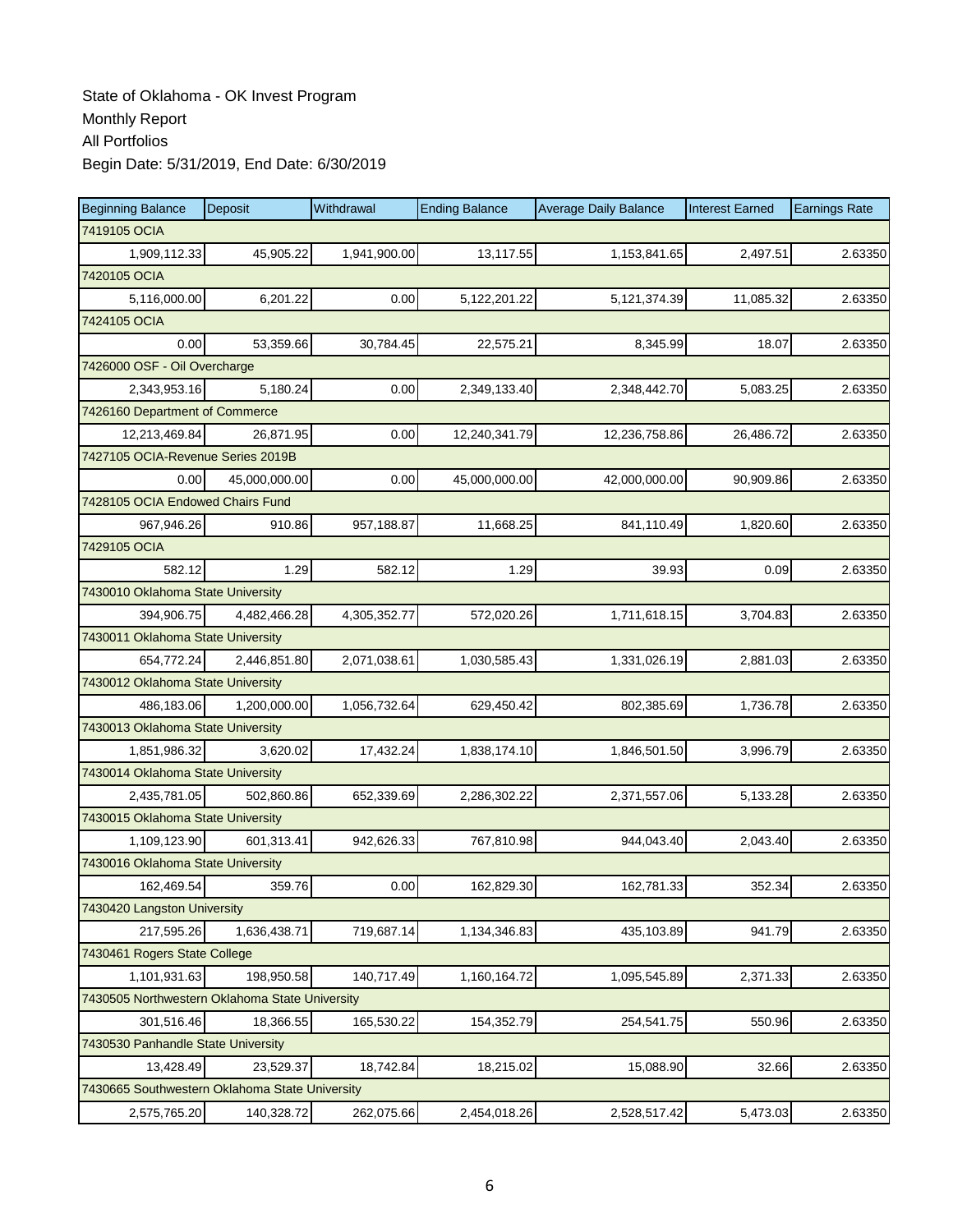| <b>Beginning Balance</b>                       | Deposit       | Withdrawal   | <b>Ending Balance</b> | <b>Average Daily Balance</b> | <b>Interest Earned</b> | <b>Earnings Rate</b> |  |  |  |
|------------------------------------------------|---------------|--------------|-----------------------|------------------------------|------------------------|----------------------|--|--|--|
| 7419105 OCIA                                   |               |              |                       |                              |                        |                      |  |  |  |
| 1,909,112.33                                   | 45,905.22     | 1,941,900.00 | 13,117.55             | 1,153,841.65                 | 2,497.51               | 2.63350              |  |  |  |
| 7420105 OCIA                                   |               |              |                       |                              |                        |                      |  |  |  |
| 5,116,000.00                                   | 6,201.22      | 0.00         | 5,122,201.22          | 5,121,374.39                 | 11,085.32              | 2.63350              |  |  |  |
| 7424105 OCIA                                   |               |              |                       |                              |                        |                      |  |  |  |
| 0.00                                           | 53,359.66     | 30,784.45    | 22,575.21             | 8,345.99                     | 18.07                  | 2.63350              |  |  |  |
| 7426000 OSF - Oil Overcharge                   |               |              |                       |                              |                        |                      |  |  |  |
| 2,343,953.16                                   | 5,180.24      | 0.00         | 2,349,133.40          | 2,348,442.70                 | 5,083.25               | 2.63350              |  |  |  |
| 7426160 Department of Commerce                 |               |              |                       |                              |                        |                      |  |  |  |
| 12,213,469.84                                  | 26,871.95     | 0.00         | 12,240,341.79         | 12,236,758.86                | 26,486.72              | 2.63350              |  |  |  |
| 7427105 OCIA-Revenue Series 2019B              |               |              |                       |                              |                        |                      |  |  |  |
| 0.00                                           | 45,000,000.00 | 0.00         | 45,000,000.00         | 42,000,000.00                | 90,909.86              | 2.63350              |  |  |  |
| 7428105 OCIA Endowed Chairs Fund               |               |              |                       |                              |                        |                      |  |  |  |
| 967.946.26                                     | 910.86        | 957,188.87   | 11,668.25             | 841,110.49                   | 1,820.60               | 2.63350              |  |  |  |
| 7429105 OCIA                                   |               |              |                       |                              |                        |                      |  |  |  |
| 582.12                                         | 1.29          | 582.12       | 1.29                  | 39.93                        | 0.09                   | 2.63350              |  |  |  |
| 7430010 Oklahoma State University              |               |              |                       |                              |                        |                      |  |  |  |
| 394,906.75                                     | 4,482,466.28  | 4,305,352.77 | 572,020.26            | 1,711,618.15                 | 3,704.83               | 2.63350              |  |  |  |
| 7430011 Oklahoma State University              |               |              |                       |                              |                        |                      |  |  |  |
| 654,772.24                                     | 2,446,851.80  | 2,071,038.61 | 1,030,585.43          | 1,331,026.19                 | 2,881.03               | 2.63350              |  |  |  |
| 7430012 Oklahoma State University              |               |              |                       |                              |                        |                      |  |  |  |
| 486,183.06                                     | 1,200,000.00  | 1,056,732.64 | 629,450.42            | 802,385.69                   | 1,736.78               | 2.63350              |  |  |  |
| 7430013 Oklahoma State University              |               |              |                       |                              |                        |                      |  |  |  |
| 1,851,986.32                                   | 3,620.02      | 17,432.24    | 1,838,174.10          | 1,846,501.50                 | 3,996.79               | 2.63350              |  |  |  |
| 7430014 Oklahoma State University              |               |              |                       |                              |                        |                      |  |  |  |
| 2,435,781.05                                   | 502,860.86    | 652,339.69   | 2,286,302.22          | 2,371,557.06                 | 5,133.28               | 2.63350              |  |  |  |
| 7430015 Oklahoma State University              |               |              |                       |                              |                        |                      |  |  |  |
| 1,109,123.90                                   | 601,313.41    | 942,626.33   | 767,810.98            | 944,043.40                   | 2,043.40               | 2.63350              |  |  |  |
| 7430016 Oklahoma State University              |               |              |                       |                              |                        |                      |  |  |  |
| 162,469.54                                     | 359.76        | 0.00         | 162,829.30            | 162,781.33                   | 352.34                 | 2.63350              |  |  |  |
| 7430420 Langston University                    |               |              |                       |                              |                        |                      |  |  |  |
| 217,595.26                                     | 1,636,438.71  | 719,687.14   | 1,134,346.83          | 435,103.89                   | 941.79                 | 2.63350              |  |  |  |
| 7430461 Rogers State College                   |               |              |                       |                              |                        |                      |  |  |  |
| 1,101,931.63                                   | 198,950.58    | 140,717.49   | 1,160,164.72          | 1,095,545.89                 | 2,371.33               | 2.63350              |  |  |  |
| 7430505 Northwestern Oklahoma State University |               |              |                       |                              |                        |                      |  |  |  |
| 301,516.46                                     | 18,366.55     | 165,530.22   | 154,352.79            | 254,541.75                   | 550.96                 | 2.63350              |  |  |  |
| 7430530 Panhandle State University             |               |              |                       |                              |                        |                      |  |  |  |
| 13,428.49                                      | 23,529.37     | 18,742.84    | 18,215.02             | 15,088.90                    | 32.66                  | 2.63350              |  |  |  |
| 7430665 Southwestern Oklahoma State University |               |              |                       |                              |                        |                      |  |  |  |
| 2,575,765.20                                   | 140,328.72    | 262,075.66   | 2,454,018.26          | 2,528,517.42                 | 5,473.03               | 2.63350              |  |  |  |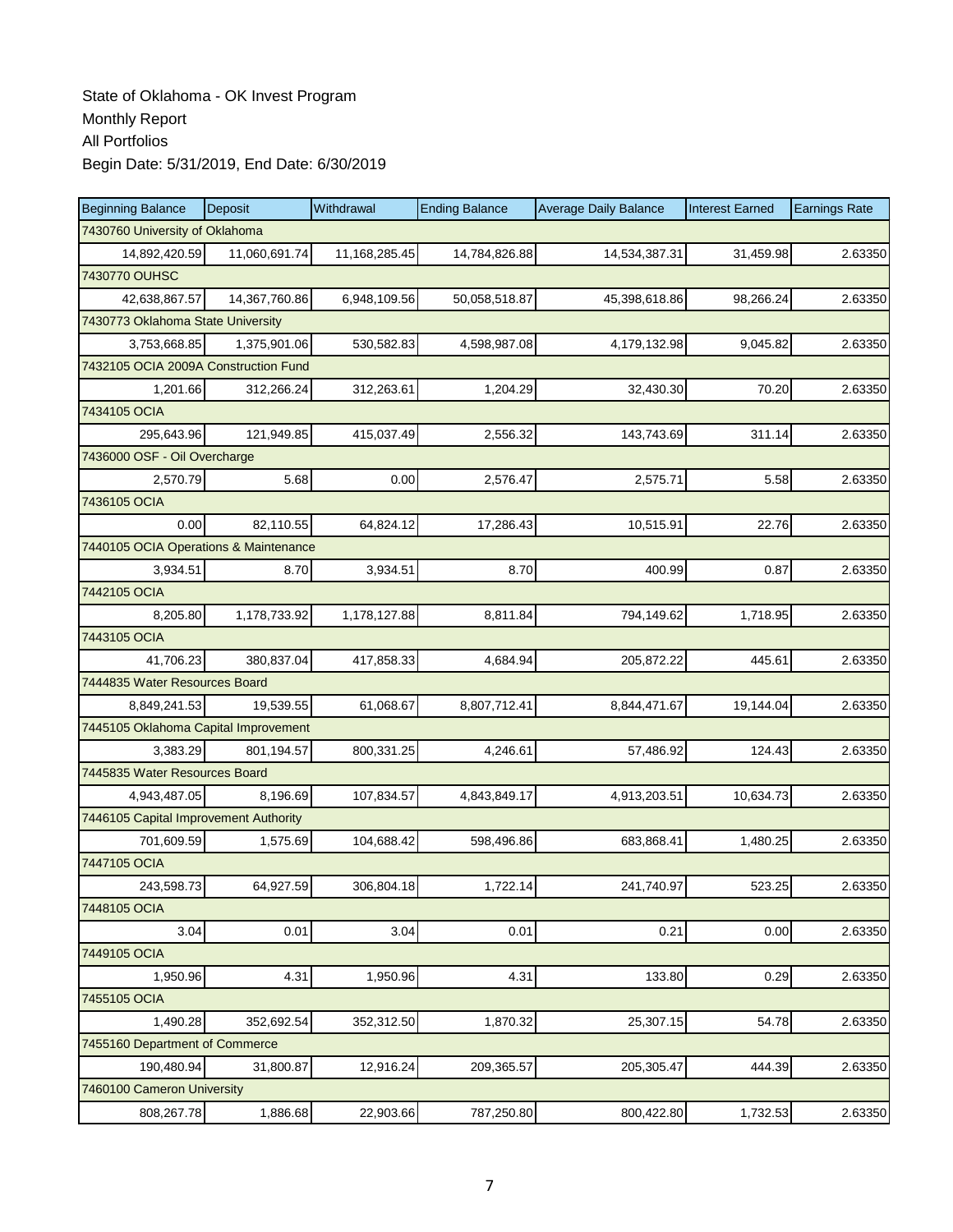| <b>Beginning Balance</b>              | Deposit                           | Withdrawal    | <b>Ending Balance</b> | <b>Average Daily Balance</b> | <b>Interest Earned</b> | <b>Earnings Rate</b> |  |  |  |
|---------------------------------------|-----------------------------------|---------------|-----------------------|------------------------------|------------------------|----------------------|--|--|--|
| 7430760 University of Oklahoma        |                                   |               |                       |                              |                        |                      |  |  |  |
| 14,892,420.59                         | 11,060,691.74                     | 11,168,285.45 | 14,784,826.88         | 14,534,387.31                | 31,459.98              | 2.63350              |  |  |  |
| 7430770 OUHSC                         |                                   |               |                       |                              |                        |                      |  |  |  |
| 42,638,867.57                         | 14,367,760.86                     | 6,948,109.56  | 50,058,518.87         | 45,398,618.86                | 98,266.24              | 2.63350              |  |  |  |
|                                       | 7430773 Oklahoma State University |               |                       |                              |                        |                      |  |  |  |
| 3,753,668.85                          | 1,375,901.06                      | 530,582.83    | 4,598,987.08          | 4,179,132.98                 | 9,045.82               | 2.63350              |  |  |  |
| 7432105 OCIA 2009A Construction Fund  |                                   |               |                       |                              |                        |                      |  |  |  |
| 1,201.66                              | 312,266.24                        | 312,263.61    | 1,204.29              | 32,430.30                    | 70.20                  | 2.63350              |  |  |  |
| 7434105 OCIA                          |                                   |               |                       |                              |                        |                      |  |  |  |
| 295,643.96                            | 121,949.85                        | 415,037.49    | 2,556.32              | 143,743.69                   | 311.14                 | 2.63350              |  |  |  |
| 7436000 OSF - Oil Overcharge          |                                   |               |                       |                              |                        |                      |  |  |  |
| 2,570.79                              | 5.68                              | 0.00          | 2,576.47              | 2,575.71                     | 5.58                   | 2.63350              |  |  |  |
| 7436105 OCIA                          |                                   |               |                       |                              |                        |                      |  |  |  |
| 0.00                                  | 82,110.55                         | 64,824.12     | 17,286.43             | 10,515.91                    | 22.76                  | 2.63350              |  |  |  |
| 7440105 OCIA Operations & Maintenance |                                   |               |                       |                              |                        |                      |  |  |  |
| 3,934.51                              | 8.70                              | 3,934.51      | 8.70                  | 400.99                       | 0.87                   | 2.63350              |  |  |  |
| 7442105 OCIA                          |                                   |               |                       |                              |                        |                      |  |  |  |
| 8.205.80                              | 1,178,733.92                      | 1,178,127.88  | 8,811.84              | 794,149.62                   | 1,718.95               | 2.63350              |  |  |  |
| 7443105 OCIA                          |                                   |               |                       |                              |                        |                      |  |  |  |
| 41,706.23                             | 380,837.04                        | 417,858.33    | 4,684.94              | 205,872.22                   | 445.61                 | 2.63350              |  |  |  |
| 7444835 Water Resources Board         |                                   |               |                       |                              |                        |                      |  |  |  |
| 8,849,241.53                          | 19,539.55                         | 61,068.67     | 8,807,712.41          | 8,844,471.67                 | 19,144.04              | 2.63350              |  |  |  |
| 7445105 Oklahoma Capital Improvement  |                                   |               |                       |                              |                        |                      |  |  |  |
| 3,383.29                              | 801,194.57                        | 800,331.25    | 4,246.61              | 57,486.92                    | 124.43                 | 2.63350              |  |  |  |
| 7445835 Water Resources Board         |                                   |               |                       |                              |                        |                      |  |  |  |
| 4,943,487.05                          | 8,196.69                          | 107,834.57    | 4,843,849.17          | 4,913,203.51                 | 10,634.73              | 2.63350              |  |  |  |
| 7446105 Capital Improvement Authority |                                   |               |                       |                              |                        |                      |  |  |  |
| 701,609.59                            | 1,575.69                          | 104,688.42    | 598,496.86            | 683,868.41                   | 1,480.25               | 2.63350              |  |  |  |
| 7447105 OCIA                          |                                   |               |                       |                              |                        |                      |  |  |  |
| 243,598.73                            | 64,927.59                         | 306,804.18    | 1,722.14              | 241,740.97                   | 523.25                 | 2.63350              |  |  |  |
| 7448105 OCIA                          |                                   |               |                       |                              |                        |                      |  |  |  |
| 3.04                                  | 0.01                              | 3.04          | 0.01                  | 0.21                         | 0.00                   | 2.63350              |  |  |  |
| 7449105 OCIA                          |                                   |               |                       |                              |                        |                      |  |  |  |
| 1,950.96                              | 4.31                              | 1,950.96      | 4.31                  | 133.80                       | 0.29                   | 2.63350              |  |  |  |
| 7455105 OCIA                          |                                   |               |                       |                              |                        |                      |  |  |  |
| 1,490.28                              | 352,692.54                        | 352,312.50    | 1,870.32              | 25,307.15                    | 54.78                  | 2.63350              |  |  |  |
| 7455160 Department of Commerce        |                                   |               |                       |                              |                        |                      |  |  |  |
| 190,480.94                            | 31,800.87                         | 12,916.24     | 209,365.57            | 205,305.47                   | 444.39                 | 2.63350              |  |  |  |
| 7460100 Cameron University            |                                   |               |                       |                              |                        |                      |  |  |  |
| 808,267.78                            | 1,886.68                          | 22,903.66     | 787,250.80            | 800,422.80                   | 1,732.53               | 2.63350              |  |  |  |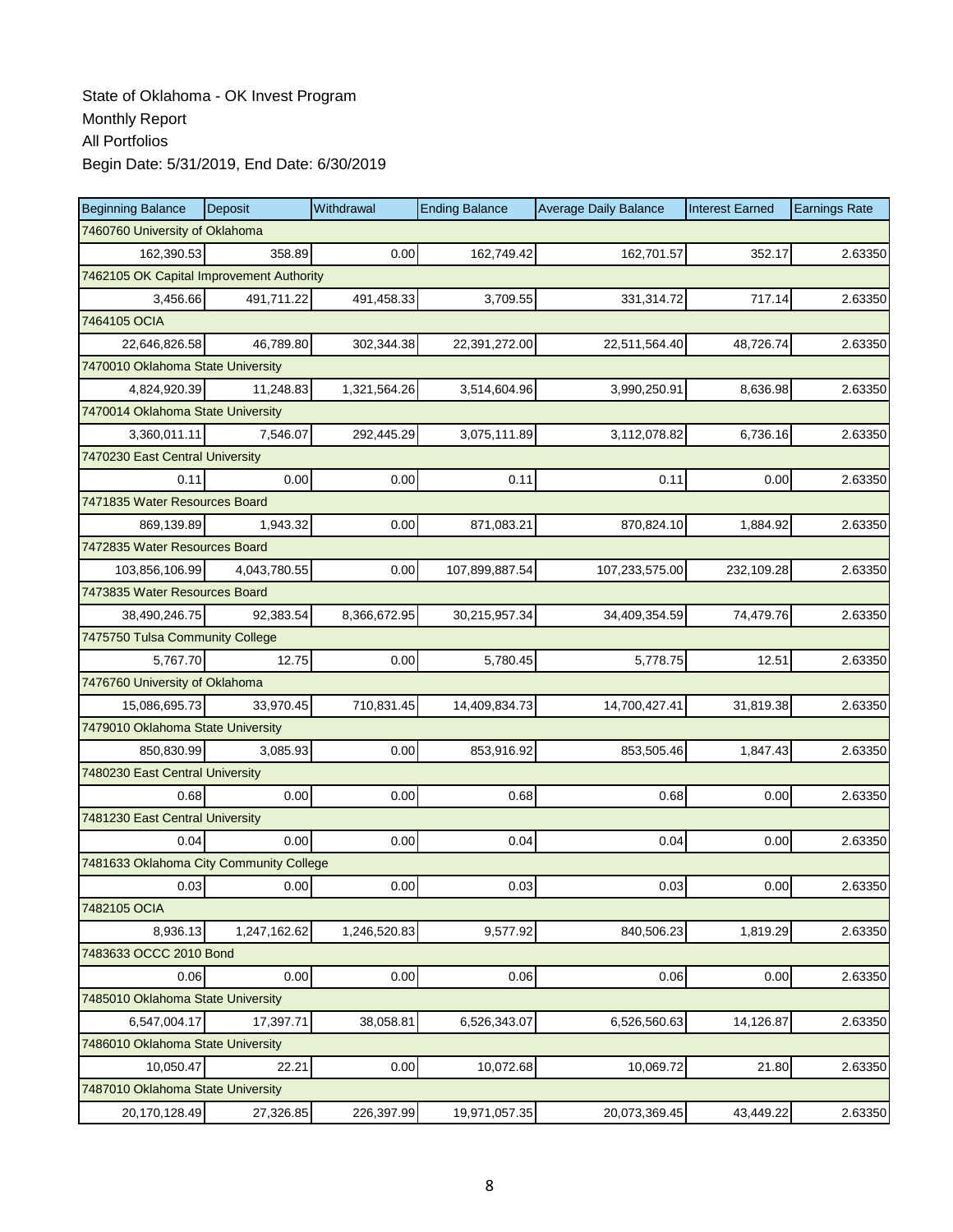| <b>Beginning Balance</b>                 | Deposit      | Withdrawal   | <b>Ending Balance</b> | <b>Average Daily Balance</b> | <b>Interest Earned</b> | <b>Earnings Rate</b> |  |  |  |
|------------------------------------------|--------------|--------------|-----------------------|------------------------------|------------------------|----------------------|--|--|--|
| 7460760 University of Oklahoma           |              |              |                       |                              |                        |                      |  |  |  |
| 162,390.53                               | 358.89       | 0.00         | 162,749.42            | 162,701.57                   | 352.17                 | 2.63350              |  |  |  |
| 7462105 OK Capital Improvement Authority |              |              |                       |                              |                        |                      |  |  |  |
| 3,456.66                                 | 491,711.22   | 491,458.33   | 3,709.55              | 331,314.72                   | 717.14                 | 2.63350              |  |  |  |
| 7464105 OCIA                             |              |              |                       |                              |                        |                      |  |  |  |
| 22,646,826.58                            | 46,789.80    | 302,344.38   | 22,391,272.00         | 22,511,564.40                | 48,726.74              | 2.63350              |  |  |  |
| 7470010 Oklahoma State University        |              |              |                       |                              |                        |                      |  |  |  |
| 4,824,920.39                             | 11,248.83    | 1,321,564.26 | 3,514,604.96          | 3,990,250.91                 | 8.636.98               | 2.63350              |  |  |  |
| 7470014 Oklahoma State University        |              |              |                       |                              |                        |                      |  |  |  |
| 3,360,011.11                             | 7,546.07     | 292,445.29   | 3,075,111.89          | 3,112,078.82                 | 6,736.16               | 2.63350              |  |  |  |
| 7470230 East Central University          |              |              |                       |                              |                        |                      |  |  |  |
| 0.11                                     | 0.00         | 0.00         | 0.11                  | 0.11                         | 0.00                   | 2.63350              |  |  |  |
| 7471835 Water Resources Board            |              |              |                       |                              |                        |                      |  |  |  |
| 869,139.89                               | 1,943.32     | 0.00         | 871,083.21            | 870,824.10                   | 1,884.92               | 2.63350              |  |  |  |
| 7472835 Water Resources Board            |              |              |                       |                              |                        |                      |  |  |  |
| 103,856,106.99                           | 4,043,780.55 | 0.00         | 107,899,887.54        | 107,233,575.00               | 232,109.28             | 2.63350              |  |  |  |
| 7473835 Water Resources Board            |              |              |                       |                              |                        |                      |  |  |  |
| 38,490,246.75                            | 92,383.54    | 8,366,672.95 | 30,215,957.34         | 34,409,354.59                | 74,479.76              | 2.63350              |  |  |  |
| 7475750 Tulsa Community College          |              |              |                       |                              |                        |                      |  |  |  |
| 5,767.70                                 | 12.75        | 0.00         | 5,780.45              | 5,778.75                     | 12.51                  | 2.63350              |  |  |  |
| 7476760 University of Oklahoma           |              |              |                       |                              |                        |                      |  |  |  |
| 15,086,695.73                            | 33,970.45    | 710,831.45   | 14,409,834.73         | 14,700,427.41                | 31,819.38              | 2.63350              |  |  |  |
| 7479010 Oklahoma State University        |              |              |                       |                              |                        |                      |  |  |  |
| 850,830.99                               | 3,085.93     | 0.00         | 853,916.92            | 853,505.46                   | 1,847.43               | 2.63350              |  |  |  |
| 7480230 East Central University          |              |              |                       |                              |                        |                      |  |  |  |
| 0.68                                     | 0.00         | 0.00         | 0.68                  | 0.68                         | 0.00                   | 2.63350              |  |  |  |
| 7481230 East Central University          |              |              |                       |                              |                        |                      |  |  |  |
| 0.04                                     | 0.00         | 0.00         | 0.04                  | 0.04                         | 0.00                   | 2.63350              |  |  |  |
| 7481633 Oklahoma City Community College  |              |              |                       |                              |                        |                      |  |  |  |
| 0.03                                     | 0.00         | 0.00         | 0.03                  | 0.03                         | 0.00                   | 2.63350              |  |  |  |
| 7482105 OCIA                             |              |              |                       |                              |                        |                      |  |  |  |
| 8,936.13                                 | 1,247,162.62 | 1,246,520.83 | 9,577.92              | 840,506.23                   | 1,819.29               | 2.63350              |  |  |  |
| 7483633 OCCC 2010 Bond                   |              |              |                       |                              |                        |                      |  |  |  |
| 0.06                                     | 0.00         | 0.00         | 0.06                  | 0.06                         | 0.00                   | 2.63350              |  |  |  |
| 7485010 Oklahoma State University        |              |              |                       |                              |                        |                      |  |  |  |
| 6,547,004.17                             | 17,397.71    | 38,058.81    | 6,526,343.07          | 6,526,560.63                 | 14,126.87              | 2.63350              |  |  |  |
| 7486010 Oklahoma State University        |              |              |                       |                              |                        |                      |  |  |  |
| 10,050.47                                | 22.21        | 0.00         | 10,072.68             | 10,069.72                    | 21.80                  | 2.63350              |  |  |  |
| 7487010 Oklahoma State University        |              |              |                       |                              |                        |                      |  |  |  |
| 20,170,128.49                            | 27,326.85    | 226,397.99   | 19,971,057.35         | 20,073,369.45                | 43,449.22              | 2.63350              |  |  |  |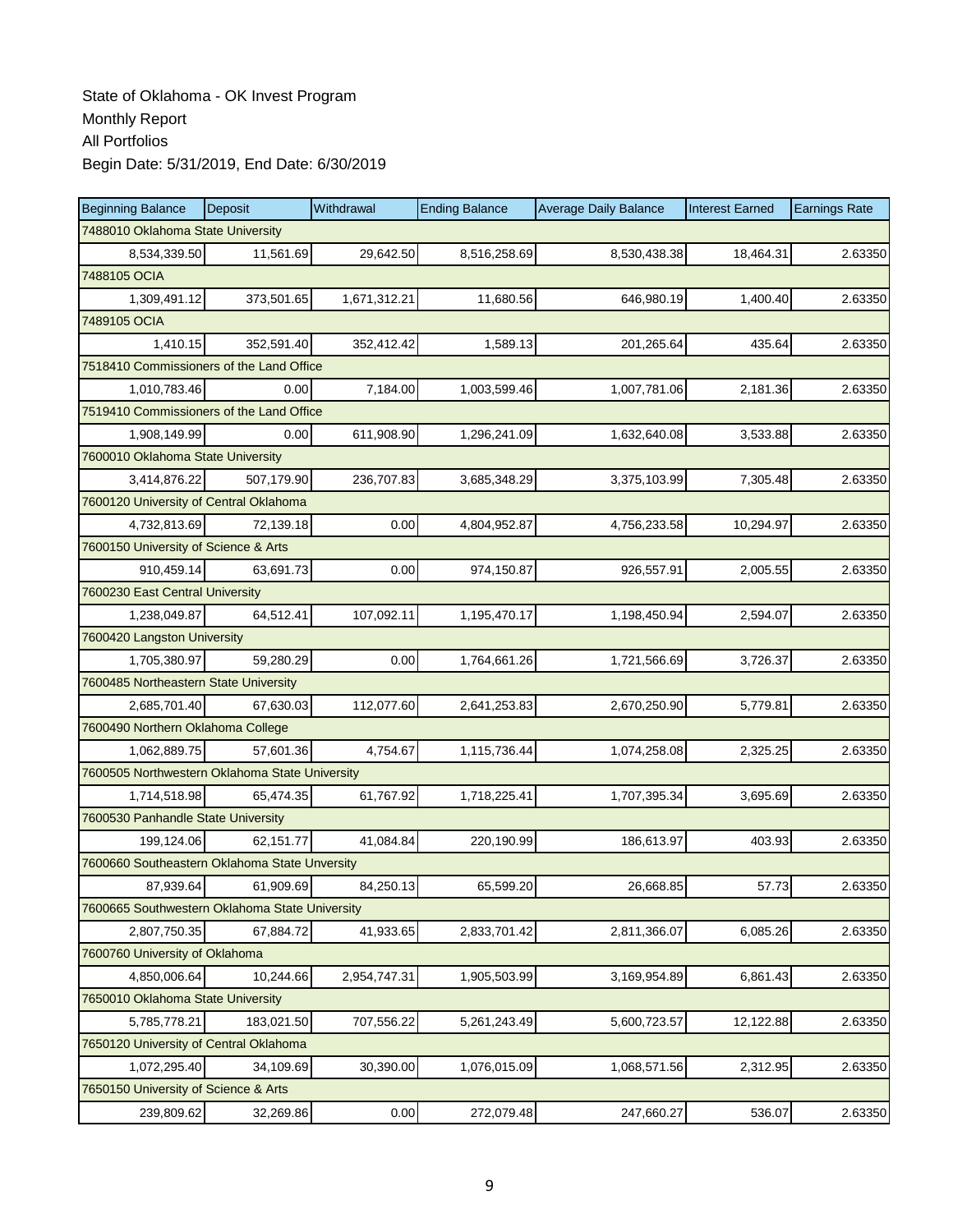| <b>Beginning Balance</b>                       | Deposit    | Withdrawal   | <b>Ending Balance</b> | <b>Average Daily Balance</b> | <b>Interest Earned</b> | <b>Earnings Rate</b> |
|------------------------------------------------|------------|--------------|-----------------------|------------------------------|------------------------|----------------------|
| 7488010 Oklahoma State University              |            |              |                       |                              |                        |                      |
| 8,534,339.50                                   | 11,561.69  | 29,642.50    | 8,516,258.69          | 8,530,438.38                 | 18,464.31              | 2.63350              |
| 7488105 OCIA                                   |            |              |                       |                              |                        |                      |
| 1,309,491.12                                   | 373,501.65 | 1,671,312.21 | 11,680.56             | 646,980.19                   | 1,400.40               | 2.63350              |
| 7489105 OCIA                                   |            |              |                       |                              |                        |                      |
| 1,410.15                                       | 352,591.40 | 352,412.42   | 1,589.13              | 201,265.64                   | 435.64                 | 2.63350              |
| 7518410 Commissioners of the Land Office       |            |              |                       |                              |                        |                      |
| 1,010,783.46                                   | 0.00       | 7,184.00     | 1,003,599.46          | 1,007,781.06                 | 2,181.36               | 2.63350              |
| 7519410 Commissioners of the Land Office       |            |              |                       |                              |                        |                      |
| 1,908,149.99                                   | 0.00       | 611,908.90   | 1,296,241.09          | 1,632,640.08                 | 3,533.88               | 2.63350              |
| 7600010 Oklahoma State University              |            |              |                       |                              |                        |                      |
| 3,414,876.22                                   | 507,179.90 | 236,707.83   | 3,685,348.29          | 3,375,103.99                 | 7,305.48               | 2.63350              |
| 7600120 University of Central Oklahoma         |            |              |                       |                              |                        |                      |
| 4,732,813.69                                   | 72,139.18  | 0.00         | 4,804,952.87          | 4,756,233.58                 | 10,294.97              | 2.63350              |
| 7600150 University of Science & Arts           |            |              |                       |                              |                        |                      |
| 910,459.14                                     | 63,691.73  | 0.00         | 974,150.87            | 926,557.91                   | 2,005.55               | 2.63350              |
| 7600230 East Central University                |            |              |                       |                              |                        |                      |
| 1,238,049.87                                   | 64,512.41  | 107,092.11   | 1,195,470.17          | 1,198,450.94                 | 2,594.07               | 2.63350              |
| 7600420 Langston University                    |            |              |                       |                              |                        |                      |
| 1,705,380.97                                   | 59,280.29  | 0.00         | 1,764,661.26          | 1,721,566.69                 | 3,726.37               | 2.63350              |
| 7600485 Northeastern State University          |            |              |                       |                              |                        |                      |
| 2,685,701.40                                   | 67,630.03  | 112,077.60   | 2,641,253.83          | 2,670,250.90                 | 5,779.81               | 2.63350              |
| 7600490 Northern Oklahoma College              |            |              |                       |                              |                        |                      |
| 1,062,889.75                                   | 57,601.36  | 4,754.67     | 1,115,736.44          | 1,074,258.08                 | 2,325.25               | 2.63350              |
| 7600505 Northwestern Oklahoma State University |            |              |                       |                              |                        |                      |
| 1,714,518.98                                   | 65,474.35  | 61,767.92    | 1,718,225.41          | 1,707,395.34                 | 3,695.69               | 2.63350              |
| 7600530 Panhandle State University             |            |              |                       |                              |                        |                      |
| 199.124.06                                     | 62,151.77  | 41,084.84    | 220,190.99            | 186,613.97                   | 403.93                 | 2.63350              |
| 7600660 Southeastern Oklahoma State Unversity  |            |              |                       |                              |                        |                      |
| 87,939.64                                      | 61,909.69  | 84,250.13    | 65,599.20             | 26,668.85                    | 57.73                  | 2.63350              |
| 7600665 Southwestern Oklahoma State University |            |              |                       |                              |                        |                      |
| 2,807,750.35                                   | 67,884.72  | 41,933.65    | 2,833,701.42          | 2,811,366.07                 | 6,085.26               | 2.63350              |
| 7600760 University of Oklahoma                 |            |              |                       |                              |                        |                      |
| 4,850,006.64                                   | 10,244.66  | 2,954,747.31 | 1,905,503.99          | 3,169,954.89                 | 6,861.43               | 2.63350              |
| 7650010 Oklahoma State University              |            |              |                       |                              |                        |                      |
| 5,785,778.21                                   | 183,021.50 | 707,556.22   | 5,261,243.49          | 5,600,723.57                 | 12,122.88              | 2.63350              |
| 7650120 University of Central Oklahoma         |            |              |                       |                              |                        |                      |
| 1,072,295.40                                   | 34,109.69  | 30,390.00    | 1,076,015.09          | 1,068,571.56                 | 2,312.95               | 2.63350              |
| 7650150 University of Science & Arts           |            |              |                       |                              |                        |                      |
| 239,809.62                                     | 32,269.86  | 0.00         | 272,079.48            | 247,660.27                   | 536.07                 | 2.63350              |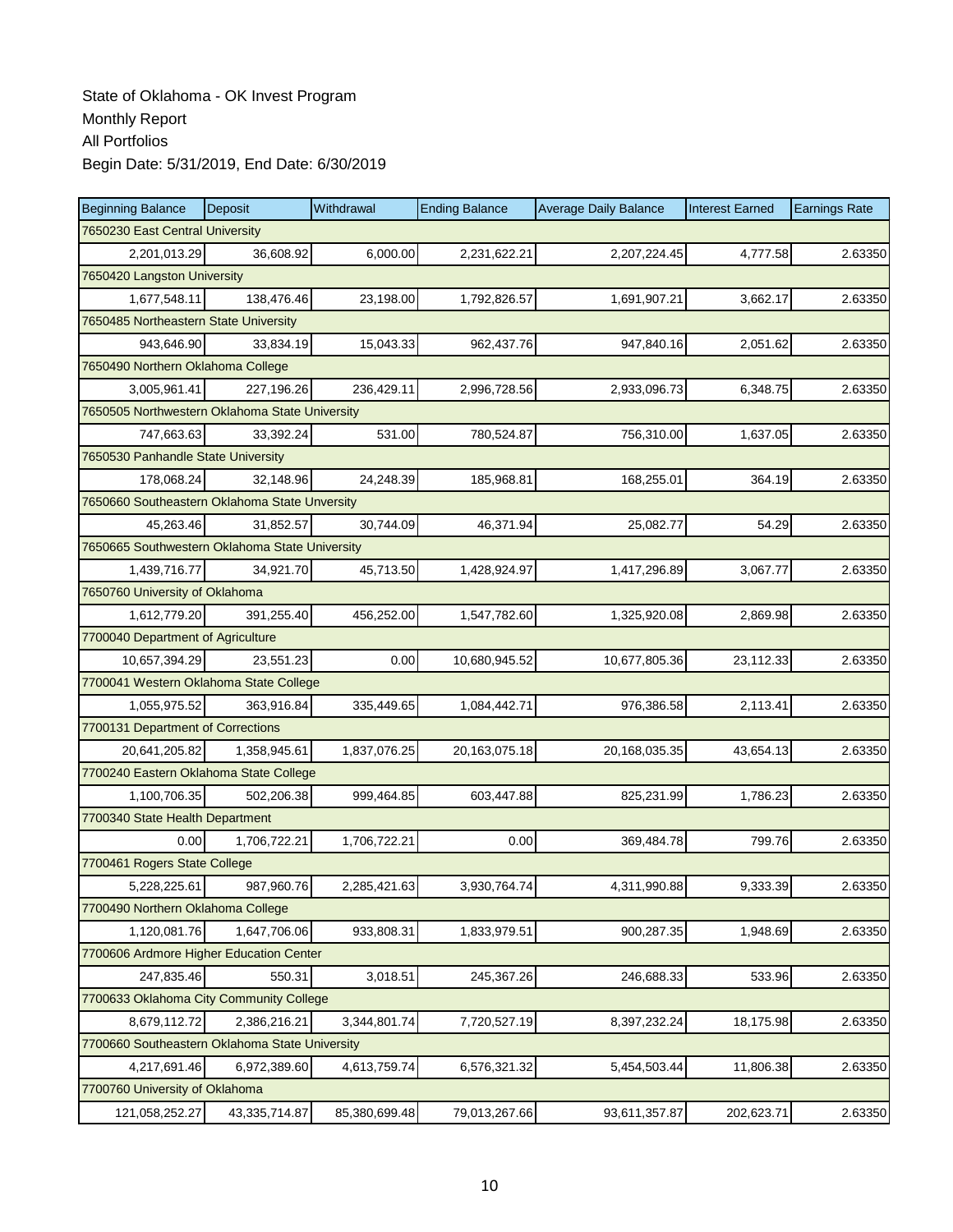| <b>Beginning Balance</b>                       | Deposit                         | Withdrawal    | <b>Ending Balance</b> | <b>Average Daily Balance</b> | <b>Interest Earned</b> | <b>Earnings Rate</b> |  |  |  |
|------------------------------------------------|---------------------------------|---------------|-----------------------|------------------------------|------------------------|----------------------|--|--|--|
|                                                | 7650230 East Central University |               |                       |                              |                        |                      |  |  |  |
| 2,201,013.29                                   | 36,608.92                       | 6.000.00      | 2,231,622.21          | 2,207,224.45                 | 4,777.58               | 2.63350              |  |  |  |
| 7650420 Langston University                    |                                 |               |                       |                              |                        |                      |  |  |  |
| 1,677,548.11                                   | 138,476.46                      | 23,198.00     | 1,792,826.57          | 1,691,907.21                 | 3,662.17               | 2.63350              |  |  |  |
| 7650485 Northeastern State University          |                                 |               |                       |                              |                        |                      |  |  |  |
| 943,646.90                                     | 33,834.19                       | 15,043.33     | 962,437.76            | 947,840.16                   | 2,051.62               | 2.63350              |  |  |  |
| 7650490 Northern Oklahoma College              |                                 |               |                       |                              |                        |                      |  |  |  |
| 3,005,961.41                                   | 227,196.26                      | 236,429.11    | 2,996,728.56          | 2,933,096.73                 | 6,348.75               | 2.63350              |  |  |  |
| 7650505 Northwestern Oklahoma State University |                                 |               |                       |                              |                        |                      |  |  |  |
| 747,663.63                                     | 33,392.24                       | 531.00        | 780,524.87            | 756,310.00                   | 1,637.05               | 2.63350              |  |  |  |
| 7650530 Panhandle State University             |                                 |               |                       |                              |                        |                      |  |  |  |
| 178,068.24                                     | 32,148.96                       | 24,248.39     | 185,968.81            | 168,255.01                   | 364.19                 | 2.63350              |  |  |  |
| 7650660 Southeastern Oklahoma State Unversity  |                                 |               |                       |                              |                        |                      |  |  |  |
| 45,263.46                                      | 31.852.57                       | 30,744.09     | 46,371.94             | 25,082.77                    | 54.29                  | 2.63350              |  |  |  |
| 7650665 Southwestern Oklahoma State University |                                 |               |                       |                              |                        |                      |  |  |  |
| 1,439,716.77                                   | 34,921.70                       | 45,713.50     | 1,428,924.97          | 1,417,296.89                 | 3,067.77               | 2.63350              |  |  |  |
| 7650760 University of Oklahoma                 |                                 |               |                       |                              |                        |                      |  |  |  |
| 1,612,779.20                                   | 391,255.40                      | 456,252.00    | 1,547,782.60          | 1,325,920.08                 | 2,869.98               | 2.63350              |  |  |  |
| 7700040 Department of Agriculture              |                                 |               |                       |                              |                        |                      |  |  |  |
| 10,657,394.29                                  | 23,551.23                       | 0.00          | 10,680,945.52         | 10,677,805.36                | 23,112.33              | 2.63350              |  |  |  |
| 7700041 Western Oklahoma State College         |                                 |               |                       |                              |                        |                      |  |  |  |
| 1,055,975.52                                   | 363,916.84                      | 335,449.65    | 1,084,442.71          | 976,386.58                   | 2,113.41               | 2.63350              |  |  |  |
| 7700131 Department of Corrections              |                                 |               |                       |                              |                        |                      |  |  |  |
| 20,641,205.82                                  | 1,358,945.61                    | 1,837,076.25  | 20,163,075.18         | 20,168,035.35                | 43,654.13              | 2.63350              |  |  |  |
| 7700240 Eastern Oklahoma State College         |                                 |               |                       |                              |                        |                      |  |  |  |
| 1,100,706.35                                   | 502,206.38                      | 999,464.85    | 603,447.88            | 825,231.99                   | 1,786.23               | 2.63350              |  |  |  |
| 7700340 State Health Department                |                                 |               |                       |                              |                        |                      |  |  |  |
| 0.00                                           | 1,706,722.21                    | 1,706,722.21  | 0.00                  | 369,484.78                   | 799.76                 | 2.63350              |  |  |  |
| 7700461 Rogers State College                   |                                 |               |                       |                              |                        |                      |  |  |  |
| 5,228,225.61                                   | 987,960.76                      | 2,285,421.63  | 3,930,764.74          | 4,311,990.88                 | 9,333.39               | 2.63350              |  |  |  |
| 7700490 Northern Oklahoma College              |                                 |               |                       |                              |                        |                      |  |  |  |
| 1,120,081.76                                   | 1,647,706.06                    | 933,808.31    | 1,833,979.51          | 900,287.35                   | 1,948.69               | 2.63350              |  |  |  |
| 7700606 Ardmore Higher Education Center        |                                 |               |                       |                              |                        |                      |  |  |  |
| 247,835.46                                     | 550.31                          | 3,018.51      | 245,367.26            | 246,688.33                   | 533.96                 | 2.63350              |  |  |  |
| 7700633 Oklahoma City Community College        |                                 |               |                       |                              |                        |                      |  |  |  |
| 8,679,112.72                                   | 2,386,216.21                    | 3,344,801.74  | 7,720,527.19          | 8,397,232.24                 | 18,175.98              | 2.63350              |  |  |  |
| 7700660 Southeastern Oklahoma State University |                                 |               |                       |                              |                        |                      |  |  |  |
| 4,217,691.46                                   | 6,972,389.60                    | 4,613,759.74  | 6,576,321.32          | 5,454,503.44                 | 11,806.38              | 2.63350              |  |  |  |
| 7700760 University of Oklahoma                 |                                 |               |                       |                              |                        |                      |  |  |  |
| 121,058,252.27                                 | 43,335,714.87                   | 85,380,699.48 | 79,013,267.66         | 93,611,357.87                | 202,623.71             | 2.63350              |  |  |  |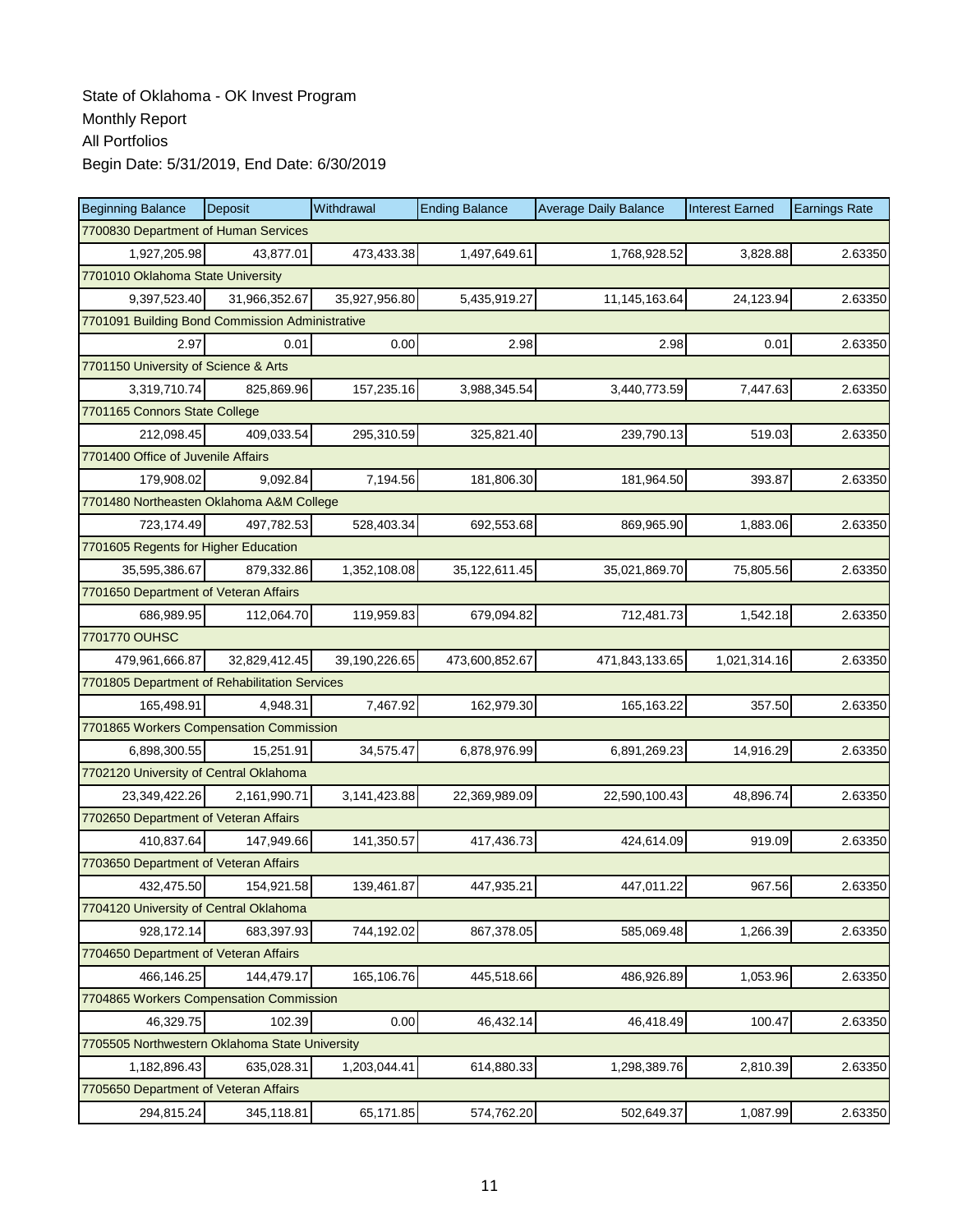| <b>Beginning Balance</b>                        | <b>Deposit</b> | Withdrawal    | <b>Ending Balance</b> | <b>Average Daily Balance</b> | <b>Interest Earned</b> | <b>Earnings Rate</b> |  |  |  |
|-------------------------------------------------|----------------|---------------|-----------------------|------------------------------|------------------------|----------------------|--|--|--|
| 7700830 Department of Human Services            |                |               |                       |                              |                        |                      |  |  |  |
| 1,927,205.98                                    | 43,877.01      | 473,433.38    | 1,497,649.61          | 1,768,928.52                 | 3,828.88               | 2.63350              |  |  |  |
| 7701010 Oklahoma State University               |                |               |                       |                              |                        |                      |  |  |  |
| 9,397,523.40                                    | 31,966,352.67  | 35,927,956.80 | 5,435,919.27          | 11,145,163.64                | 24,123.94              | 2.63350              |  |  |  |
| 7701091 Building Bond Commission Administrative |                |               |                       |                              |                        |                      |  |  |  |
| 2.97                                            | 0.01           | 0.00          | 2.98                  | 2.98                         | 0.01                   | 2.63350              |  |  |  |
| 7701150 University of Science & Arts            |                |               |                       |                              |                        |                      |  |  |  |
| 3,319,710.74                                    | 825,869.96     | 157,235.16    | 3,988,345.54          | 3,440,773.59                 | 7,447.63               | 2.63350              |  |  |  |
| 7701165 Connors State College                   |                |               |                       |                              |                        |                      |  |  |  |
| 212,098.45                                      | 409,033.54     | 295,310.59    | 325,821.40            | 239,790.13                   | 519.03                 | 2.63350              |  |  |  |
| 7701400 Office of Juvenile Affairs              |                |               |                       |                              |                        |                      |  |  |  |
| 179,908.02                                      | 9,092.84       | 7,194.56      | 181,806.30            | 181,964.50                   | 393.87                 | 2.63350              |  |  |  |
| 7701480 Northeasten Oklahoma A&M College        |                |               |                       |                              |                        |                      |  |  |  |
| 723,174.49                                      | 497,782.53     | 528,403.34    | 692,553.68            | 869,965.90                   | 1,883.06               | 2.63350              |  |  |  |
| 7701605 Regents for Higher Education            |                |               |                       |                              |                        |                      |  |  |  |
| 35,595,386.67                                   | 879,332.86     | 1,352,108.08  | 35,122,611.45         | 35,021,869.70                | 75,805.56              | 2.63350              |  |  |  |
| 7701650 Department of Veteran Affairs           |                |               |                       |                              |                        |                      |  |  |  |
| 686,989.95                                      | 112,064.70     | 119,959.83    | 679,094.82            | 712,481.73                   | 1,542.18               | 2.63350              |  |  |  |
| 7701770 OUHSC                                   |                |               |                       |                              |                        |                      |  |  |  |
| 479,961,666.87                                  | 32,829,412.45  | 39,190,226.65 | 473,600,852.67        | 471,843,133.65               | 1,021,314.16           | 2.63350              |  |  |  |
| 7701805 Department of Rehabilitation Services   |                |               |                       |                              |                        |                      |  |  |  |
| 165,498.91                                      | 4,948.31       | 7,467.92      | 162,979.30            | 165,163.22                   | 357.50                 | 2.63350              |  |  |  |
| 7701865 Workers Compensation Commission         |                |               |                       |                              |                        |                      |  |  |  |
| 6,898,300.55                                    | 15,251.91      | 34,575.47     | 6,878,976.99          | 6,891,269.23                 | 14,916.29              | 2.63350              |  |  |  |
| 7702120 University of Central Oklahoma          |                |               |                       |                              |                        |                      |  |  |  |
| 23,349,422.26                                   | 2,161,990.71   | 3,141,423.88  | 22,369,989.09         | 22,590,100.43                | 48,896.74              | 2.63350              |  |  |  |
| 7702650 Department of Veteran Affairs           |                |               |                       |                              |                        |                      |  |  |  |
| 410,837.64                                      | 147.949.66     | 141,350.57    | 417,436.73            | 424,614.09                   | 919.09                 | 2.63350              |  |  |  |
| 7703650 Department of Veteran Affairs           |                |               |                       |                              |                        |                      |  |  |  |
| 432,475.50                                      | 154,921.58     | 139,461.87    | 447,935.21            | 447,011.22                   | 967.56                 | 2.63350              |  |  |  |
| 7704120 University of Central Oklahoma          |                |               |                       |                              |                        |                      |  |  |  |
| 928,172.14                                      | 683,397.93     | 744,192.02    | 867,378.05            | 585,069.48                   | 1,266.39               | 2.63350              |  |  |  |
| 7704650 Department of Veteran Affairs           |                |               |                       |                              |                        |                      |  |  |  |
| 466,146.25                                      | 144,479.17     | 165,106.76    | 445,518.66            | 486,926.89                   | 1,053.96               | 2.63350              |  |  |  |
| 7704865 Workers Compensation Commission         |                |               |                       |                              |                        |                      |  |  |  |
| 46,329.75                                       | 102.39         | 0.00          | 46,432.14             | 46,418.49                    | 100.47                 | 2.63350              |  |  |  |
| 7705505 Northwestern Oklahoma State University  |                |               |                       |                              |                        |                      |  |  |  |
| 1,182,896.43                                    | 635,028.31     | 1,203,044.41  | 614,880.33            | 1,298,389.76                 | 2,810.39               | 2.63350              |  |  |  |
| 7705650 Department of Veteran Affairs           |                |               |                       |                              |                        |                      |  |  |  |
| 294,815.24                                      | 345,118.81     | 65,171.85     | 574,762.20            | 502,649.37                   | 1,087.99               | 2.63350              |  |  |  |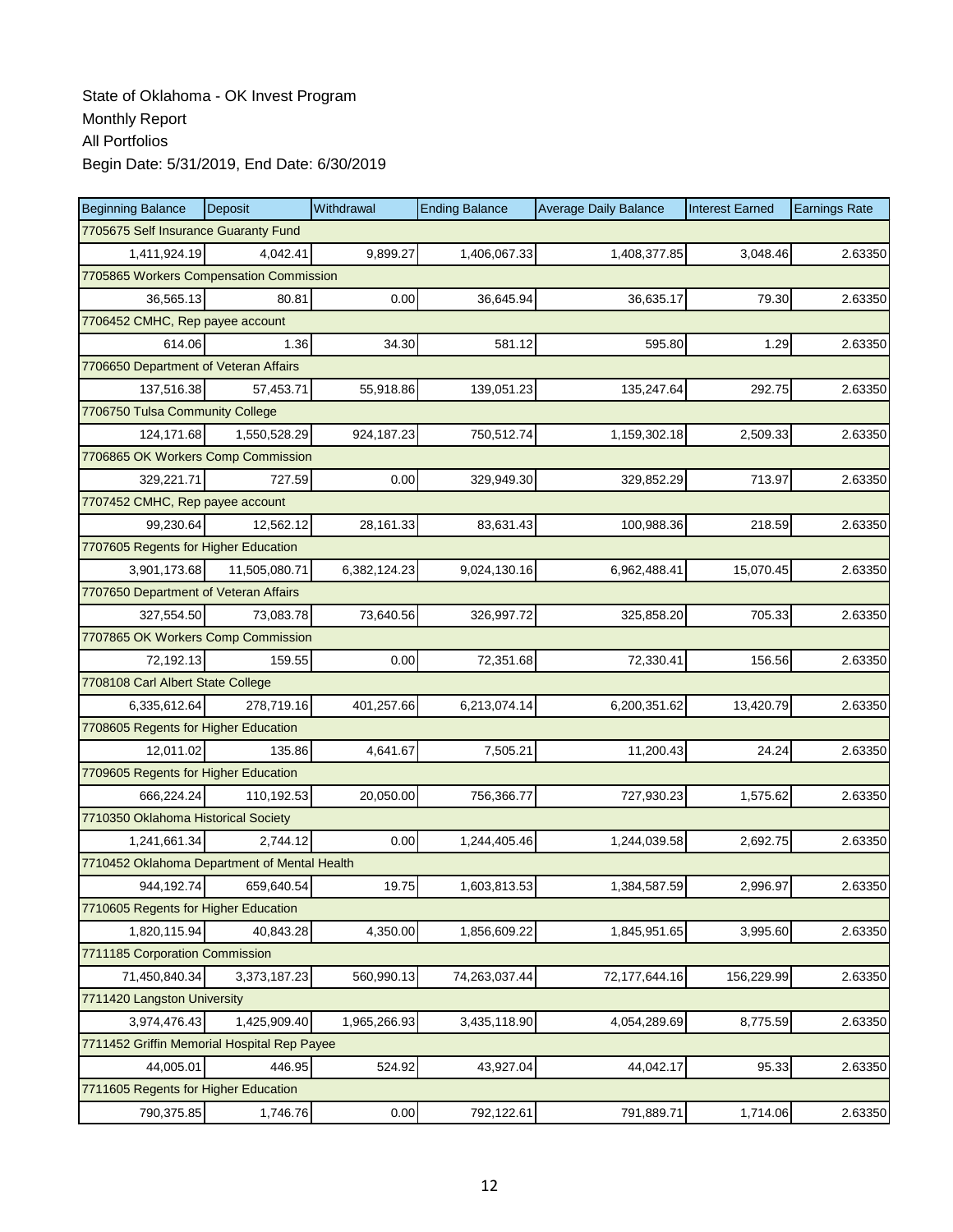| <b>Beginning Balance</b>                     | <b>Deposit</b>                       | Withdrawal   | <b>Ending Balance</b> | <b>Average Daily Balance</b> | <b>Interest Earned</b> | <b>Earnings Rate</b> |  |  |  |
|----------------------------------------------|--------------------------------------|--------------|-----------------------|------------------------------|------------------------|----------------------|--|--|--|
|                                              | 7705675 Self Insurance Guaranty Fund |              |                       |                              |                        |                      |  |  |  |
| 1,411,924.19                                 | 4,042.41                             | 9,899.27     | 1,406,067.33          | 1,408,377.85                 | 3,048.46               | 2.63350              |  |  |  |
| 7705865 Workers Compensation Commission      |                                      |              |                       |                              |                        |                      |  |  |  |
| 36,565.13                                    | 80.81                                | 0.00         | 36,645.94             | 36,635.17                    | 79.30                  | 2.63350              |  |  |  |
| 7706452 CMHC, Rep payee account              |                                      |              |                       |                              |                        |                      |  |  |  |
| 614.06                                       | 1.36                                 | 34.30        | 581.12                | 595.80                       | 1.29                   | 2.63350              |  |  |  |
| 7706650 Department of Veteran Affairs        |                                      |              |                       |                              |                        |                      |  |  |  |
| 137,516.38                                   | 57,453.71                            | 55,918.86    | 139,051.23            | 135,247.64                   | 292.75                 | 2.63350              |  |  |  |
| 7706750 Tulsa Community College              |                                      |              |                       |                              |                        |                      |  |  |  |
| 124,171.68                                   | 1,550,528.29                         | 924,187.23   | 750,512.74            | 1,159,302.18                 | 2,509.33               | 2.63350              |  |  |  |
| 7706865 OK Workers Comp Commission           |                                      |              |                       |                              |                        |                      |  |  |  |
| 329,221.71                                   | 727.59                               | 0.00         | 329,949.30            | 329,852.29                   | 713.97                 | 2.63350              |  |  |  |
| 7707452 CMHC, Rep payee account              |                                      |              |                       |                              |                        |                      |  |  |  |
| 99.230.64                                    | 12,562.12                            | 28,161.33    | 83,631.43             | 100,988.36                   | 218.59                 | 2.63350              |  |  |  |
| 7707605 Regents for Higher Education         |                                      |              |                       |                              |                        |                      |  |  |  |
| 3,901,173.68                                 | 11,505,080.71                        | 6,382,124.23 | 9,024,130.16          | 6,962,488.41                 | 15,070.45              | 2.63350              |  |  |  |
| 7707650 Department of Veteran Affairs        |                                      |              |                       |                              |                        |                      |  |  |  |
| 327,554.50                                   | 73,083.78                            | 73,640.56    | 326,997.72            | 325,858.20                   | 705.33                 | 2.63350              |  |  |  |
| 7707865 OK Workers Comp Commission           |                                      |              |                       |                              |                        |                      |  |  |  |
| 72,192.13                                    | 159.55                               | 0.00         | 72,351.68             | 72,330.41                    | 156.56                 | 2.63350              |  |  |  |
| 7708108 Carl Albert State College            |                                      |              |                       |                              |                        |                      |  |  |  |
| 6,335,612.64                                 | 278,719.16                           | 401,257.66   | 6,213,074.14          | 6,200,351.62                 | 13,420.79              | 2.63350              |  |  |  |
| 7708605 Regents for Higher Education         |                                      |              |                       |                              |                        |                      |  |  |  |
| 12,011.02                                    | 135.86                               | 4,641.67     | 7,505.21              | 11,200.43                    | 24.24                  | 2.63350              |  |  |  |
| 7709605 Regents for Higher Education         |                                      |              |                       |                              |                        |                      |  |  |  |
| 666,224.24                                   | 110,192.53                           | 20,050.00    | 756,366.77            | 727,930.23                   | 1,575.62               | 2.63350              |  |  |  |
| 7710350 Oklahoma Historical Society          |                                      |              |                       |                              |                        |                      |  |  |  |
| 1,241,661.34                                 | 2.744.12                             | 0.00         | 1,244,405.46          | 1,244,039.58                 | 2,692.75               | 2.63350              |  |  |  |
| 7710452 Oklahoma Department of Mental Health |                                      |              |                       |                              |                        |                      |  |  |  |
| 944,192.74                                   | 659,640.54                           | 19.75        | 1,603,813.53          | 1,384,587.59                 | 2,996.97               | 2.63350              |  |  |  |
| 7710605 Regents for Higher Education         |                                      |              |                       |                              |                        |                      |  |  |  |
| 1,820,115.94                                 | 40,843.28                            | 4,350.00     | 1,856,609.22          | 1,845,951.65                 | 3,995.60               | 2.63350              |  |  |  |
| 7711185 Corporation Commission               |                                      |              |                       |                              |                        |                      |  |  |  |
| 71,450,840.34                                | 3,373,187.23                         | 560,990.13   | 74,263,037.44         | 72,177,644.16                | 156,229.99             | 2.63350              |  |  |  |
| 7711420 Langston University                  |                                      |              |                       |                              |                        |                      |  |  |  |
| 3,974,476.43                                 | 1,425,909.40                         | 1,965,266.93 | 3,435,118.90          | 4,054,289.69                 | 8,775.59               | 2.63350              |  |  |  |
| 7711452 Griffin Memorial Hospital Rep Payee  |                                      |              |                       |                              |                        |                      |  |  |  |
| 44,005.01                                    | 446.95                               | 524.92       | 43,927.04             | 44,042.17                    | 95.33                  | 2.63350              |  |  |  |
| 7711605 Regents for Higher Education         |                                      |              |                       |                              |                        |                      |  |  |  |
| 790,375.85                                   | 1,746.76                             | 0.00         | 792,122.61            | 791,889.71                   | 1,714.06               | 2.63350              |  |  |  |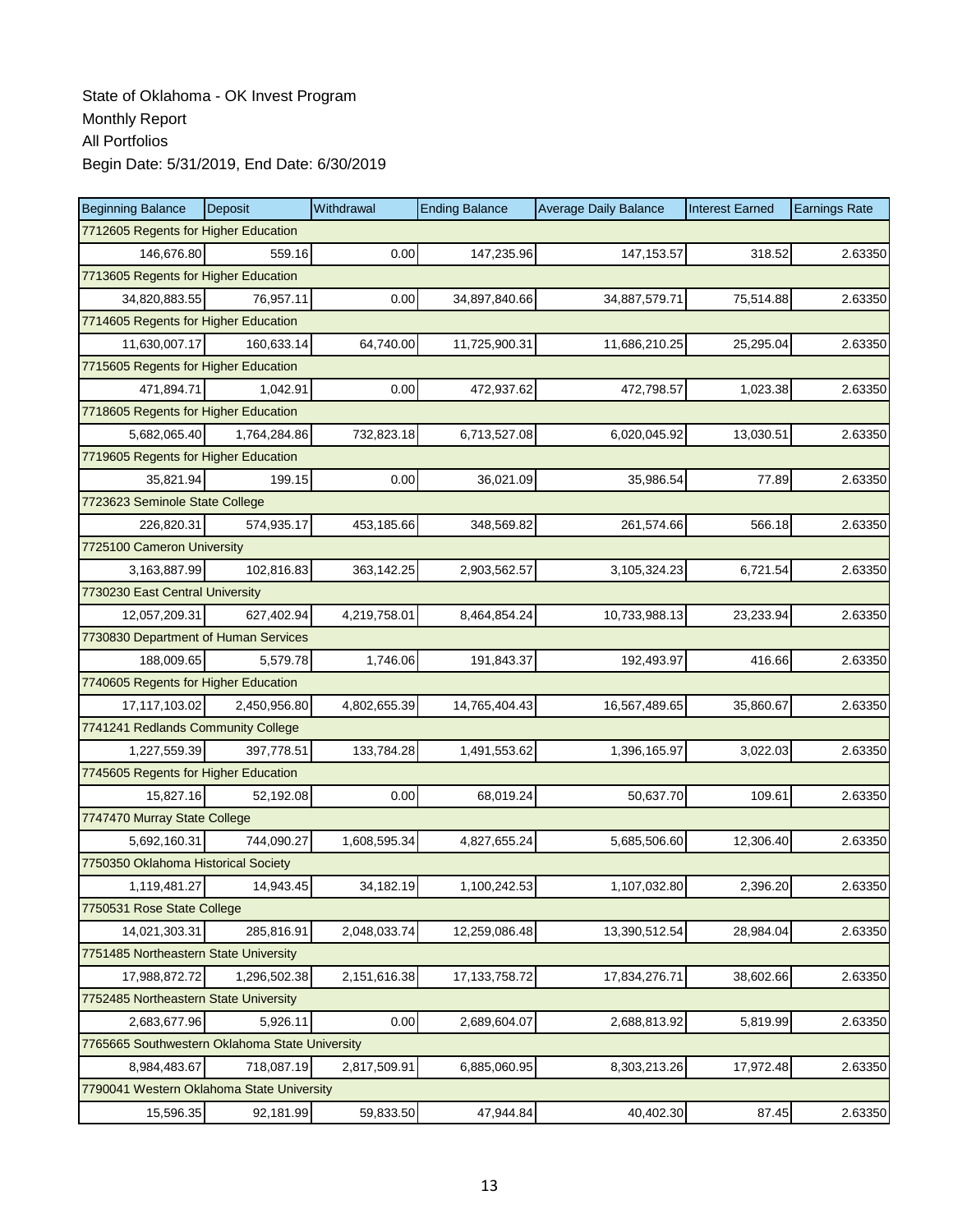| <b>Beginning Balance</b>                       | Deposit                             | Withdrawal   | <b>Ending Balance</b> | <b>Average Daily Balance</b> | <b>Interest Earned</b> | <b>Earnings Rate</b> |  |  |
|------------------------------------------------|-------------------------------------|--------------|-----------------------|------------------------------|------------------------|----------------------|--|--|
| 7712605 Regents for Higher Education           |                                     |              |                       |                              |                        |                      |  |  |
| 146,676.80                                     | 559.16                              | 0.00         | 147,235.96            | 147, 153.57                  | 318.52                 | 2.63350              |  |  |
| 7713605 Regents for Higher Education           |                                     |              |                       |                              |                        |                      |  |  |
| 34,820,883.55                                  | 76,957.11                           | 0.00         | 34,897,840.66         | 34,887,579.71                | 75,514.88              | 2.63350              |  |  |
| 7714605 Regents for Higher Education           |                                     |              |                       |                              |                        |                      |  |  |
| 11,630,007.17                                  | 160,633.14                          | 64,740.00    | 11,725,900.31         | 11,686,210.25                | 25,295.04              | 2.63350              |  |  |
| 7715605 Regents for Higher Education           |                                     |              |                       |                              |                        |                      |  |  |
| 471,894.71                                     | 1,042.91                            | 0.00         | 472,937.62            | 472,798.57                   | 1,023.38               | 2.63350              |  |  |
| 7718605 Regents for Higher Education           |                                     |              |                       |                              |                        |                      |  |  |
| 5,682,065.40                                   | 1,764,284.86                        | 732,823.18   | 6,713,527.08          | 6,020,045.92                 | 13,030.51              | 2.63350              |  |  |
| 7719605 Regents for Higher Education           |                                     |              |                       |                              |                        |                      |  |  |
| 35,821.94                                      | 199.15                              | 0.00         | 36,021.09             | 35,986.54                    | 77.89                  | 2.63350              |  |  |
| 7723623 Seminole State College                 |                                     |              |                       |                              |                        |                      |  |  |
| 226.820.31                                     | 574,935.17                          | 453,185.66   | 348,569.82            | 261,574.66                   | 566.18                 | 2.63350              |  |  |
|                                                | 7725100 Cameron University          |              |                       |                              |                        |                      |  |  |
| 3,163,887.99                                   | 102,816.83                          | 363,142.25   | 2,903,562.57          | 3,105,324.23                 | 6,721.54               | 2.63350              |  |  |
| 7730230 East Central University                |                                     |              |                       |                              |                        |                      |  |  |
| 12,057,209.31                                  | 627,402.94                          | 4,219,758.01 | 8,464,854.24          | 10,733,988.13                | 23,233.94              | 2.63350              |  |  |
| 7730830 Department of Human Services           |                                     |              |                       |                              |                        |                      |  |  |
| 188,009.65                                     | 5,579.78                            | 1,746.06     | 191,843.37            | 192,493.97                   | 416.66                 | 2.63350              |  |  |
| 7740605 Regents for Higher Education           |                                     |              |                       |                              |                        |                      |  |  |
| 17,117,103.02                                  | 2,450,956.80                        | 4,802,655.39 | 14,765,404.43         | 16,567,489.65                | 35,860.67              | 2.63350              |  |  |
| 7741241 Redlands Community College             |                                     |              |                       |                              |                        |                      |  |  |
| 1,227,559.39                                   | 397,778.51                          | 133,784.28   | 1,491,553.62          | 1,396,165.97                 | 3,022.03               | 2.63350              |  |  |
| 7745605 Regents for Higher Education           |                                     |              |                       |                              |                        |                      |  |  |
| 15,827.16                                      | 52,192.08                           | 0.00         | 68,019.24             | 50,637.70                    | 109.61                 | 2.63350              |  |  |
| 7747470 Murray State College                   |                                     |              |                       |                              |                        |                      |  |  |
| 5,692,160.31                                   | 744,090.27                          | 1,608,595.34 | 4,827,655.24          | 5,685,506.60                 | 12,306.40              | 2.63350              |  |  |
|                                                | 7750350 Oklahoma Historical Society |              |                       |                              |                        |                      |  |  |
| 1,119,481.27                                   | 14,943.45                           | 34,182.19    | 1,100,242.53          | 1,107,032.80                 | 2,396.20               | 2.63350              |  |  |
| 7750531 Rose State College                     |                                     |              |                       |                              |                        |                      |  |  |
| 14,021,303.31                                  | 285,816.91                          | 2,048,033.74 | 12,259,086.48         | 13,390,512.54                | 28,984.04              | 2.63350              |  |  |
| 7751485 Northeastern State University          |                                     |              |                       |                              |                        |                      |  |  |
| 17,988,872.72                                  | 1,296,502.38                        | 2,151,616.38 | 17, 133, 758. 72      | 17,834,276.71                | 38,602.66              | 2.63350              |  |  |
| 7752485 Northeastern State University          |                                     |              |                       |                              |                        |                      |  |  |
| 2,683,677.96                                   | 5,926.11                            | 0.00         | 2,689,604.07          | 2,688,813.92                 | 5,819.99               | 2.63350              |  |  |
| 7765665 Southwestern Oklahoma State University |                                     |              |                       |                              |                        |                      |  |  |
| 8,984,483.67                                   | 718,087.19                          | 2,817,509.91 | 6,885,060.95          | 8,303,213.26                 | 17,972.48              | 2.63350              |  |  |
| 7790041 Western Oklahoma State University      |                                     |              |                       |                              |                        |                      |  |  |
| 15,596.35                                      | 92,181.99                           | 59,833.50    | 47,944.84             | 40,402.30                    | 87.45                  | 2.63350              |  |  |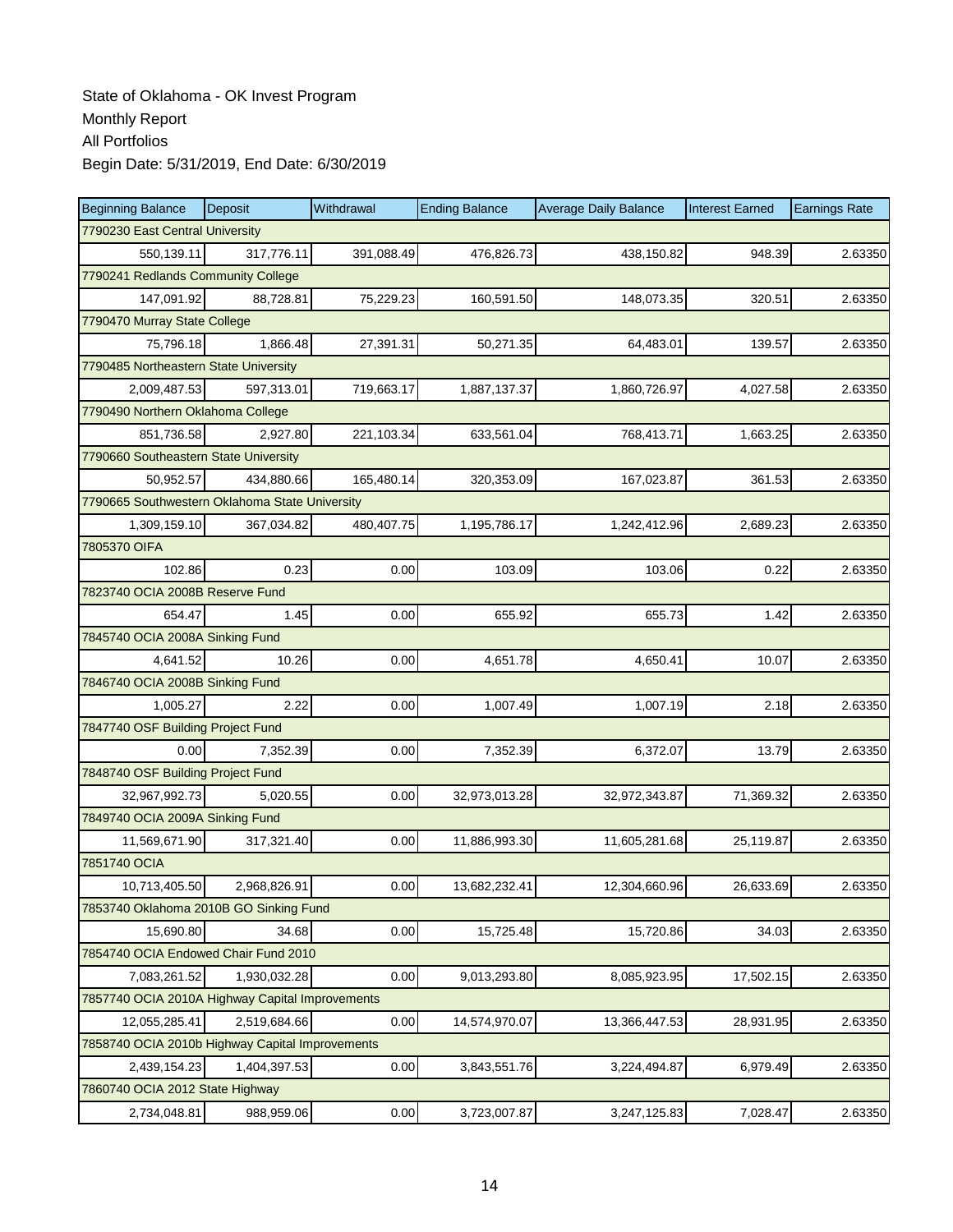| <b>Beginning Balance</b>                        | Deposit      | Withdrawal | <b>Ending Balance</b> | <b>Average Daily Balance</b> | <b>Interest Earned</b> | <b>Earnings Rate</b> |  |
|-------------------------------------------------|--------------|------------|-----------------------|------------------------------|------------------------|----------------------|--|
| 7790230 East Central University                 |              |            |                       |                              |                        |                      |  |
| 550,139.11                                      | 317,776.11   | 391,088.49 | 476,826.73            | 438,150.82                   | 948.39                 | 2.63350              |  |
| 7790241 Redlands Community College              |              |            |                       |                              |                        |                      |  |
| 147,091.92                                      | 88,728.81    | 75,229.23  | 160,591.50            | 148,073.35                   | 320.51                 | 2.63350              |  |
| 7790470 Murray State College                    |              |            |                       |                              |                        |                      |  |
| 75,796.18                                       | 1,866.48     | 27,391.31  | 50,271.35             | 64,483.01                    | 139.57                 | 2.63350              |  |
| 7790485 Northeastern State University           |              |            |                       |                              |                        |                      |  |
| 2,009,487.53                                    | 597.313.01   | 719,663.17 | 1,887,137.37          | 1,860,726.97                 | 4,027.58               | 2.63350              |  |
| 7790490 Northern Oklahoma College               |              |            |                       |                              |                        |                      |  |
| 851,736.58                                      | 2,927.80     | 221,103.34 | 633,561.04            | 768,413.71                   | 1,663.25               | 2.63350              |  |
| 7790660 Southeastern State University           |              |            |                       |                              |                        |                      |  |
| 50,952.57                                       | 434,880.66   | 165,480.14 | 320,353.09            | 167,023.87                   | 361.53                 | 2.63350              |  |
| 7790665 Southwestern Oklahoma State University  |              |            |                       |                              |                        |                      |  |
| 1,309,159.10                                    | 367,034.82   | 480,407.75 | 1,195,786.17          | 1,242,412.96                 | 2,689.23               | 2.63350              |  |
| 7805370 OIFA                                    |              |            |                       |                              |                        |                      |  |
| 102.86                                          | 0.23         | 0.00       | 103.09                | 103.06                       | 0.22                   | 2.63350              |  |
| 7823740 OCIA 2008B Reserve Fund                 |              |            |                       |                              |                        |                      |  |
| 654.47                                          | 1.45         | 0.00       | 655.92                | 655.73                       | 1.42                   | 2.63350              |  |
| 7845740 OCIA 2008A Sinking Fund                 |              |            |                       |                              |                        |                      |  |
| 4,641.52                                        | 10.26        | 0.00       | 4,651.78              | 4,650.41                     | 10.07                  | 2.63350              |  |
| 7846740 OCIA 2008B Sinking Fund                 |              |            |                       |                              |                        |                      |  |
| 1,005.27                                        | 2.22         | 0.00       | 1,007.49              | 1,007.19                     | 2.18                   | 2.63350              |  |
| 7847740 OSF Building Project Fund               |              |            |                       |                              |                        |                      |  |
| 0.00                                            | 7,352.39     | 0.00       | 7,352.39              | 6,372.07                     | 13.79                  | 2.63350              |  |
| 7848740 OSF Building Project Fund               |              |            |                       |                              |                        |                      |  |
| 32,967,992.73                                   | 5,020.55     | 0.00       | 32,973,013.28         | 32,972,343.87                | 71,369.32              | 2.63350              |  |
| 7849740 OCIA 2009A Sinking Fund                 |              |            |                       |                              |                        |                      |  |
| 11,569,671.90                                   | 317,321.40   | 0.00       | 11,886,993.30         | 11,605,281.68                | 25,119.87              | 2.63350              |  |
| 7851740 OCIA                                    |              |            |                       |                              |                        |                      |  |
| 10,713,405.50                                   | 2,968,826.91 | 0.00       | 13,682,232.41         | 12,304,660.96                | 26,633.69              | 2.63350              |  |
| 7853740 Oklahoma 2010B GO Sinking Fund          |              |            |                       |                              |                        |                      |  |
| 15,690.80                                       | 34.68        | 0.00       | 15,725.48             | 15,720.86                    | 34.03                  | 2.63350              |  |
| 7854740 OCIA Endowed Chair Fund 2010            |              |            |                       |                              |                        |                      |  |
| 7,083,261.52                                    | 1,930,032.28 | 0.00       | 9,013,293.80          | 8,085,923.95                 | 17,502.15              | 2.63350              |  |
| 7857740 OCIA 2010A Highway Capital Improvements |              |            |                       |                              |                        |                      |  |
| 12,055,285.41                                   | 2,519,684.66 | 0.00       | 14,574,970.07         | 13,366,447.53                | 28,931.95              | 2.63350              |  |
| 7858740 OCIA 2010b Highway Capital Improvements |              |            |                       |                              |                        |                      |  |
| 2,439,154.23                                    | 1,404,397.53 | 0.00       | 3,843,551.76          | 3,224,494.87                 | 6,979.49               | 2.63350              |  |
| 7860740 OCIA 2012 State Highway                 |              |            |                       |                              |                        |                      |  |
| 2,734,048.81                                    | 988,959.06   | 0.00       | 3,723,007.87          | 3,247,125.83                 | 7,028.47               | 2.63350              |  |